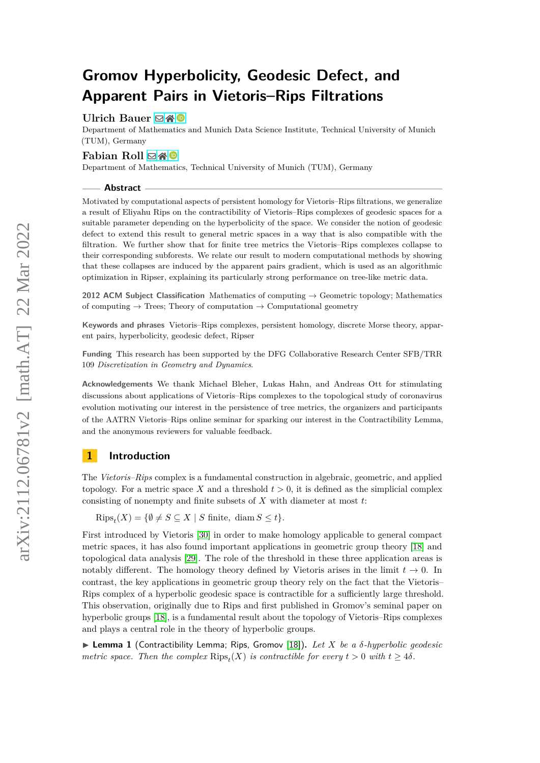# **Ulrich Bauer** ⊠\* <sup>©</sup>

Department of Mathematics and Munich Data Science Institute, Technical University of Munich (TUM), Germany

# **Fabian Roll** ⊠\* <sup>■</sup>

Department of Mathematics, Technical University of Munich (TUM), Germany

#### **Abstract**

Motivated by computational aspects of persistent homology for Vietoris–Rips filtrations, we generalize a result of Eliyahu Rips on the contractibility of Vietoris–Rips complexes of geodesic spaces for a suitable parameter depending on the hyperbolicity of the space. We consider the notion of geodesic defect to extend this result to general metric spaces in a way that is also compatible with the filtration. We further show that for finite tree metrics the Vietoris–Rips complexes collapse to their corresponding subforests. We relate our result to modern computational methods by showing that these collapses are induced by the apparent pairs gradient, which is used as an algorithmic optimization in Ripser, explaining its particularly strong performance on tree-like metric data.

**2012 ACM Subject Classification** Mathematics of computing → Geometric topology; Mathematics of computing  $\rightarrow$  Trees; Theory of computation  $\rightarrow$  Computational geometry

**Keywords and phrases** Vietoris–Rips complexes, persistent homology, discrete Morse theory, apparent pairs, hyperbolicity, geodesic defect, Ripser

**Funding** This research has been supported by the DFG Collaborative Research Center SFB/TRR 109 *Discretization in Geometry and Dynamics*.

**Acknowledgements** We thank Michael Bleher, Lukas Hahn, and Andreas Ott for stimulating discussions about applications of Vietoris–Rips complexes to the topological study of coronavirus evolution motivating our interest in the persistence of tree metrics, the organizers and participants of the AATRN Vietoris–Rips online seminar for sparking our interest in the Contractibility Lemma, and the anonymous reviewers for valuable feedback.

# **1 Introduction**

The *Vietoris–Rips* complex is a fundamental construction in algebraic, geometric, and applied topology. For a metric space X and a threshold  $t > 0$ , it is defined as the simplicial complex consisting of nonempty and finite subsets of *X* with diameter at most *t*:

 $Rips_t(X) = \{ \emptyset \neq S \subseteq X \mid S \text{ finite, } \text{diam } S \leq t \}.$ 

First introduced by Vietoris [\[30\]](#page-17-0) in order to make homology applicable to general compact metric spaces, it has also found important applications in geometric group theory [\[18\]](#page-16-0) and topological data analysis [\[29\]](#page-17-1). The role of the threshold in these three application areas is notably different. The homology theory defined by Vietoris arises in the limit  $t \to 0$ . In contrast, the key applications in geometric group theory rely on the fact that the Vietoris– Rips complex of a hyperbolic geodesic space is contractible for a sufficiently large threshold. This observation, originally due to Rips and first published in Gromov's seminal paper on hyperbolic groups [\[18\]](#page-16-0), is a fundamental result about the topology of Vietoris–Rips complexes and plays a central role in the theory of hyperbolic groups.

I **Lemma 1** (Contractibility Lemma; Rips, Gromov [\[18\]](#page-16-0))**.** *Let X be a δ-hyperbolic geodesic metric space. Then the complex*  $\text{Rips}_{t}(X)$  *is contractible for every*  $t > 0$  *with*  $t \geq 4\delta$ *.*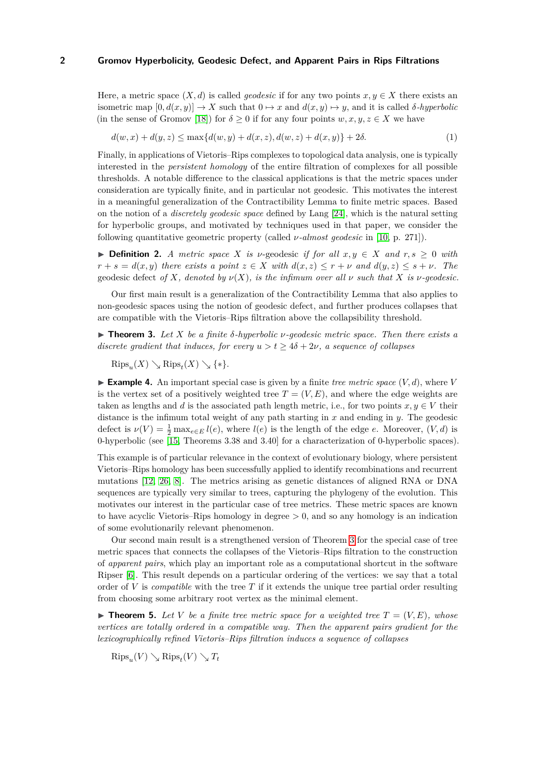Here, a metric space  $(X, d)$  is called *geodesic* if for any two points  $x, y \in X$  there exists an isometric map  $[0, d(x, y)] \rightarrow X$  such that  $0 \rightarrow x$  and  $d(x, y) \rightarrow y$ , and it is called  $\delta$ *-hyperbolic* (in the sense of Gromov [\[18\]](#page-16-0)) for  $\delta > 0$  if for any four points  $w, x, y, z \in X$  we have

<span id="page-1-1"></span>
$$
d(w, x) + d(y, z) \le \max\{d(w, y) + d(x, z), d(w, z) + d(x, y)\} + 2\delta.
$$
\n(1)

Finally, in applications of Vietoris–Rips complexes to topological data analysis, one is typically interested in the *persistent homology* of the entire filtration of complexes for all possible thresholds. A notable difference to the classical applications is that the metric spaces under consideration are typically finite, and in particular not geodesic. This motivates the interest in a meaningful generalization of the Contractibility Lemma to finite metric spaces. Based on the notion of a *discretely geodesic space* defined by Lang [\[24\]](#page-17-2), which is the natural setting for hyperbolic groups, and motivated by techniques used in that paper, we consider the following quantitative geometric property (called *ν-almost geodesic* in [\[10,](#page-16-1) p. 271]).

**▶ Definition 2.** *A metric space X is v*-geodesic *if for all*  $x, y \in X$  *and*  $r, s ≥ 0$  *with*  $r + s = d(x, y)$  *there exists a point*  $z \in X$  *with*  $d(x, z) \leq r + \nu$  *and*  $d(y, z) \leq s + \nu$ *. The* geodesic defect *of*  $X$ *, denoted by*  $\nu(X)$ *, is the infimum over all*  $\nu$  *such that*  $X$  *is*  $\nu$ *-geodesic.* 

Our first main result is a generalization of the Contractibility Lemma that also applies to non-geodesic spaces using the notion of geodesic defect, and further produces collapses that are compatible with the Vietoris–Rips filtration above the collapsibility threshold.

<span id="page-1-0"></span>I **Theorem 3.** *Let X be a finite δ-hyperbolic ν-geodesic metric space. Then there exists a discrete gradient that induces, for every*  $u > t \geq 4\delta + 2\nu$ , a sequence of collapses

 $\text{Rips}_u(X) \searrow \text{Rips}_t(X) \searrow \{*\}.$ 

<span id="page-1-2"></span>**Example 4.** An important special case is given by a finite *tree metric space*  $(V, d)$ , where *V* is the vertex set of a positively weighted tree  $T = (V, E)$ , and where the edge weights are taken as lengths and *d* is the associated path length metric, i.e., for two points  $x, y \in V$  their distance is the infimum total weight of any path starting in *x* and ending in *y*. The geodesic defect is  $\nu(V) = \frac{1}{2} \max_{e \in E} l(e)$ , where  $l(e)$  is the length of the edge *e*. Moreover,  $(V, d)$  is 0-hyperbolic (see [\[15,](#page-16-2) Theorems 3.38 and 3.40] for a characterization of 0-hyperbolic spaces).

This example is of particular relevance in the context of evolutionary biology, where persistent Vietoris–Rips homology has been successfully applied to identify recombinations and recurrent mutations [\[12,](#page-16-3) [26,](#page-17-3) [8\]](#page-16-4). The metrics arising as genetic distances of aligned RNA or DNA sequences are typically very similar to trees, capturing the phylogeny of the evolution. This motivates our interest in the particular case of tree metrics. These metric spaces are known to have acyclic Vietoris–Rips homology in degree *>* 0, and so any homology is an indication of some evolutionarily relevant phenomenon.

Our second main result is a strengthened version of Theorem [3](#page-1-0) for the special case of tree metric spaces that connects the collapses of the Vietoris–Rips filtration to the construction of *apparent pairs*, which play an important role as a computational shortcut in the software Ripser [\[6\]](#page-16-5). This result depends on a particular ordering of the vertices: we say that a total order of *V* is *compatible* with the tree *T* if it extends the unique tree partial order resulting from choosing some arbitrary root vertex as the minimal element.

<span id="page-1-3"></span> $\blacktriangleright$  **Theorem 5.** Let V be a finite tree metric space for a weighted tree  $T = (V, E)$ , whose *vertices are totally ordered in a compatible way. Then the apparent pairs gradient for the lexicographically refined Vietoris–Rips filtration induces a sequence of collapses*

 $\text{Rips}_{u}(V) \searrow \text{Rips}_{t}(V) \searrow T_t$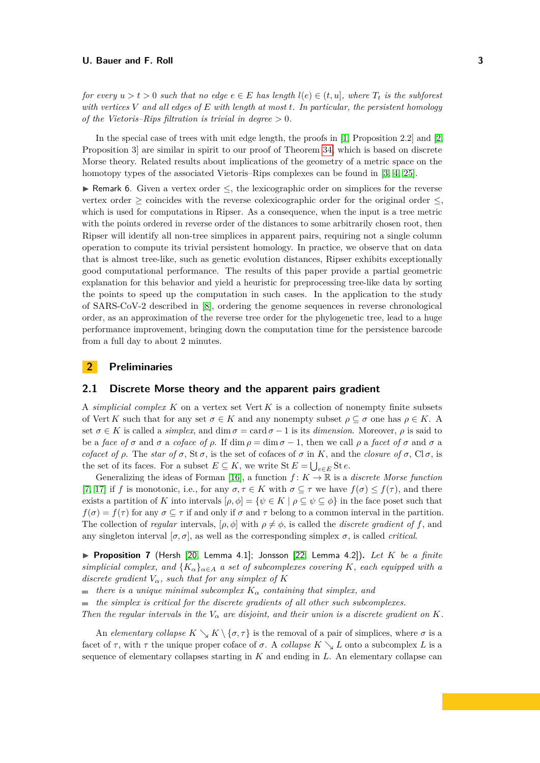*for every*  $u > t > 0$  *such that no edge*  $e \in E$  *has length*  $l(e) \in (t, u]$ *, where*  $T_t$  *is the subforest with vertices V and all edges of E with length at most t. In particular, the persistent homology of the Vietoris–Rips filtration is trivial in degree >* 0*.*

In the special case of trees with unit edge length, the proofs in [\[1,](#page-15-0) Proposition 2.2] and [\[2,](#page-15-1) Proposition 3] are similar in spirit to our proof of Theorem [34,](#page-12-0) which is based on discrete Morse theory. Related results about implications of the geometry of a metric space on the homotopy types of the associated Vietoris–Rips complexes can be found in [\[3,](#page-16-6) [4,](#page-16-7) [25\]](#page-17-4).

 $\triangleright$  Remark 6. Given a vertex order  $\leq$ , the lexicographic order on simplices for the reverse vertex order  $\geq$  coincides with the reverse colexicographic order for the original order  $\leq$ , which is used for computations in Ripser. As a consequence, when the input is a tree metric with the points ordered in reverse order of the distances to some arbitrarily chosen root, then Ripser will identify all non-tree simplices in apparent pairs, requiring not a single column operation to compute its trivial persistent homology. In practice, we observe that on data that is almost tree-like, such as genetic evolution distances, Ripser exhibits exceptionally good computational performance. The results of this paper provide a partial geometric explanation for this behavior and yield a heuristic for preprocessing tree-like data by sorting the points to speed up the computation in such cases. In the application to the study of SARS-CoV-2 described in [\[8\]](#page-16-4), ordering the genome sequences in reverse chronological order, as an approximation of the reverse tree order for the phylogenetic tree, lead to a huge performance improvement, bringing down the computation time for the persistence barcode from a full day to about 2 minutes.

# **2 Preliminaries**

# **2.1 Discrete Morse theory and the apparent pairs gradient**

A *simplicial complex K* on a vertex set Vert *K* is a collection of nonempty finite subsets of Vert *K* such that for any set  $\sigma \in K$  and any nonempty subset  $\rho \subseteq \sigma$  one has  $\rho \in K$ . A set  $\sigma \in K$  is called a *simplex*, and dim  $\sigma = \text{card } \sigma - 1$  is its *dimension*. Moreover,  $\rho$  is said to be a *face of*  $\sigma$  and  $\sigma$  a *coface of*  $\rho$ . If dim  $\rho = \dim \sigma - 1$ , then we call  $\rho$  a *facet of*  $\sigma$  and  $\sigma$  a *cofacet of*  $\rho$ . The *star of*  $\sigma$ , St $\sigma$ , is the set of cofaces of  $\sigma$  in K, and the *closure of*  $\sigma$ , Cl $\sigma$ , is the set of its faces. For a subset  $E \subseteq K$ , we write  $\text{St } E = \bigcup_{e \in E} \text{St } e$ .

Generalizing the ideas of Forman [\[16\]](#page-16-8), a function  $f: K \to \mathbb{R}$  is a *discrete Morse function* [\[7,](#page-16-9) [17\]](#page-16-10) if *f* is monotonic, i.e., for any  $\sigma, \tau \in K$  with  $\sigma \subseteq \tau$  we have  $f(\sigma) \leq f(\tau)$ , and there exists a partition of *K* into intervals  $[\rho, \phi] = {\psi \in K \mid \rho \subseteq \psi \subseteq \phi}$  in the face poset such that  $f(\sigma) = f(\tau)$  for any  $\sigma \subseteq \tau$  if and only if  $\sigma$  and  $\tau$  belong to a common interval in the partition. The collection of *regular* intervals,  $[\rho, \phi]$  with  $\rho \neq \phi$ , is called the *discrete gradient of* f, and any singleton interval  $[\sigma, \sigma]$ , as well as the corresponding simplex  $\sigma$ , is called *critical*.

<span id="page-2-0"></span>▶ **Proposition 7** (Hersh [\[20,](#page-16-11) Lemma 4.1]; Jonsson [\[22,](#page-16-12) Lemma 4.2]). Let K be a finite *simplicial complex, and*  ${K_\alpha}_{\alpha \in A}$  *a set of subcomplexes covering K, each equipped with a discrete gradient*  $V_\alpha$ *, such that for any simplex of*  $K$ 

 $\bullet$  *there is a unique minimal subcomplex*  $K_{\alpha}$  *containing that simplex, and* 

*the simplex is critical for the discrete gradients of all other such subcomplexes.*

*Then the regular intervals in the*  $V_\alpha$  *are disjoint, and their union is a discrete gradient on*  $K$ *.* 

An *elementary collapse*  $K \setminus \{ \sigma, \tau \}$  is the removal of a pair of simplices, where  $\sigma$  is a facet of  $\tau$ , with  $\tau$  the unique proper coface of  $\sigma$ . A collapse  $K \searrow L$  onto a subcomplex L is a sequence of elementary collapses starting in *K* and ending in *L*. An elementary collapse can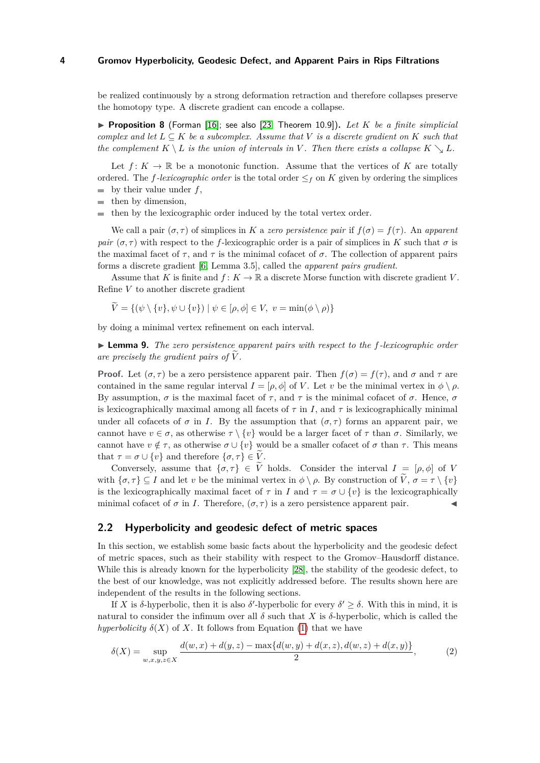be realized continuously by a strong deformation retraction and therefore collapses preserve the homotopy type. A discrete gradient can encode a collapse.

<span id="page-3-0"></span> $\triangleright$  **Proposition 8** (Forman [\[16\]](#page-16-8); see also [\[23,](#page-16-13) Theorem 10.9]). Let K be a finite simplicial *complex and let*  $L \subseteq K$  *be a subcomplex. Assume that*  $V$  *is a discrete gradient on*  $K$  *such that the complement*  $K \setminus L$  *is the union of intervals in V*. Then there exists a collapse  $K \setminus L$ *.* 

Let  $f: K \to \mathbb{R}$  be a monotonic function. Assume that the vertices of K are totally ordered. The *f*-lexicographic order is the total order  $\leq_f$  on *K* given by ordering the simplices  $\blacksquare$  by their value under  $f$ ,

- then by dimension,  $\blacksquare$
- then by the lexicographic order induced by the total vertex order.

We call a pair  $(\sigma, \tau)$  of simplices in *K* a *zero persistence pair* if  $f(\sigma) = f(\tau)$ . An *apparent pair*  $(\sigma, \tau)$  with respect to the *f*-lexicographic order is a pair of simplices in *K* such that  $\sigma$  is the maximal facet of  $\tau$ , and  $\tau$  is the minimal cofacet of  $\sigma$ . The collection of apparent pairs forms a discrete gradient [\[6,](#page-16-5) Lemma 3.5], called the *apparent pairs gradient*.

Assume that *K* is finite and  $f: K \to \mathbb{R}$  a discrete Morse function with discrete gradient *V*. Refine *V* to another discrete gradient

$$
\widetilde{V} = \{ (\psi \setminus \{v\}, \psi \cup \{v\}) \mid \psi \in [\rho, \phi] \in V, v = \min(\phi \setminus \rho) \}
$$

<span id="page-3-1"></span>by doing a minimal vertex refinement on each interval.

► **Lemma 9.** *The zero persistence apparent pairs with respect to the f-lexicographic order are precisely the gradient pairs of*  $V$ *.* 

**Proof.** Let  $(\sigma, \tau)$  be a zero persistence apparent pair. Then  $f(\sigma) = f(\tau)$ , and  $\sigma$  and  $\tau$  are contained in the same regular interval  $I = [\rho, \phi]$  of *V*. Let *v* be the minimal vertex in  $\phi \setminus \rho$ . By assumption, *σ* is the maximal facet of *τ*, and *τ* is the minimal cofacet of *σ*. Hence, *σ* is lexicographically maximal among all facets of  $\tau$  in *I*, and  $\tau$  is lexicographically minimal under all cofacets of  $\sigma$  in *I*. By the assumption that  $(\sigma, \tau)$  forms an apparent pair, we cannot have  $v \in \sigma$ , as otherwise  $\tau \setminus \{v\}$  would be a larger facet of  $\tau$  than  $\sigma$ . Similarly, we cannot have  $v \notin \tau$ , as otherwise  $\sigma \cup \{v\}$  would be a smaller cofacet of  $\sigma$  than  $\tau$ . This means that  $\tau = \sigma \cup \{v\}$  and therefore  $\{\sigma, \tau\} \in V$ .

Conversely, assume that  $\{\sigma, \tau\} \in V$  holds. Consider the interval  $I = [\rho, \phi]$  of V with  $\{\sigma, \tau\} \subseteq I$  and let *v* be the minimal vertex in  $\phi \setminus \rho$ . By construction of  $\widetilde{V}, \sigma = \tau \setminus \{v\}$ is the lexicographically maximal facet of  $\tau$  in *I* and  $\tau = \sigma \cup \{v\}$  is the lexicographically minimal cofacet of  $\sigma$  in *I*. Therefore,  $(\sigma, \tau)$  is a zero persistence apparent pair.

# **2.2 Hyperbolicity and geodesic defect of metric spaces**

In this section, we establish some basic facts about the hyperbolicity and the geodesic defect of metric spaces, such as their stability with respect to the Gromov–Hausdorff distance. While this is already known for the hyperbolicity [\[28\]](#page-17-5), the stability of the geodesic defect, to the best of our knowledge, was not explicitly addressed before. The results shown here are independent of the results in the following sections.

If *X* is *δ*-hyperbolic, then it is also *δ*'-hyperbolic for every  $\delta' \geq \delta$ . With this in mind, it is natural to consider the infimum over all  $\delta$  such that *X* is  $\delta$ -hyperbolic, which is called the *hyperbolicity*  $\delta(X)$  of X. It follows from Equation [\(1\)](#page-1-1) that we have

$$
\delta(X) = \sup_{w,x,y,z \in X} \frac{d(w,x) + d(y,z) - \max\{d(w,y) + d(x,z), d(w,z) + d(x,y)\}}{2},\tag{2}
$$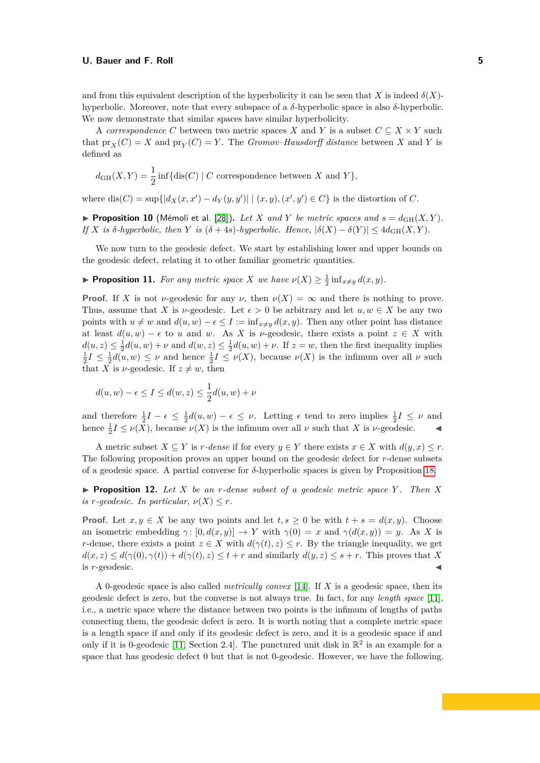and from this equivalent description of the hyperbolicity it can be seen that *X* is indeed  $\delta(X)$ hyperbolic. Moreover, note that every subspace of a *δ*-hyperbolic space is also *δ*-hyperbolic. We now demonstrate that similar spaces have similar hyperbolicity.

A *correspondence C* between two metric spaces *X* and *Y* is a subset  $C \subseteq X \times Y$  such that  $pr_X(C) = X$  and  $pr_Y(C) = Y$ . The *Gromov–Hausdorff distance* between *X* and *Y* is defined as

$$
d_{GH}(X,Y) = \frac{1}{2}
$$
 inf{dis(C) | C correspondence between X and Y},

where  $dis(C) = \sup\{|d_X(x, x') - d_Y(y, y')| \mid (x, y), (x', y') \in C\}$  is the distortion of *C*.

**Proposition 10** (Mémoli et al. [\[28\]](#page-17-5)). Let X and Y be metric spaces and  $s = d_{GH}(X, Y)$ . *If*  $X$  *is*  $\delta$ *-hyperbolic, then*  $Y$  *is* ( $\delta$  + 4*s*)*-hyperbolic. Hence,*  $|\delta(X) - \delta(Y)| \leq 4d_{GH}(X, Y)$ .

We now turn to the geodesic defect. We start by establishing lower and upper bounds on the geodesic defect, relating it to other familiar geometric quantities.

**• Proposition 11.** For any metric space *X* we have  $\nu(X) \geq \frac{1}{2} \inf_{x \neq y} d(x, y)$ .

**Proof.** If *X* is not *ν*-geodesic for any *ν*, then  $\nu(X) = \infty$  and there is nothing to prove. Thus, assume that *X* is *ν*-geodesic. Let  $\epsilon > 0$  be arbitrary and let  $u, w \in X$  be any two points with  $u \neq w$  and  $d(u, w) - \epsilon \leq I := \inf_{x \neq y} d(x, y)$ . Then any other point has distance at least  $d(u, w) - \epsilon$  to *u* and *w*. As *X* is *v*-geodesic, there exists a point  $z \in X$  with  $d(u, z) \leq \frac{1}{2}d(u, w) + \nu$  and  $d(w, z) \leq \frac{1}{2}d(u, w) + \nu$ . If  $z = w$ , then the first inequality implies  $\frac{1}{2}I \leq \frac{1}{2}d(u, w) \leq \nu$  and hence  $\frac{1}{2}I \leq \nu(X)$ , because  $\nu(X)$  is the infimum over all  $\nu$  such that *X* is *ν*-geodesic. If  $z \neq w$ , then

$$
d(u, w) - \epsilon \le I \le d(w, z) \le \frac{1}{2}d(u, w) + \nu
$$

and therefore  $\frac{1}{2}I - \epsilon \leq \frac{1}{2}d(u, w) - \epsilon \leq \nu$ . Letting  $\epsilon$  tend to zero implies  $\frac{1}{2}I \leq \nu$  and hence  $\frac{1}{2}I \leq \nu(\overline{X})$ , because  $\nu(X)$  is the infimum over all  $\nu$  such that *X* is  $\nu$ -geodesic.

A metric subset  $X \subseteq Y$  is *r*-dense if for every  $y \in Y$  there exists  $x \in X$  with  $d(y, x) \leq r$ . The following proposition proves an upper bound on the geodesic defect for *r*-dense subsets of a geodesic space. A partial converse for *δ*-hyperbolic spaces is given by Proposition [18.](#page-6-0)

<span id="page-4-0"></span>**Proposition 12.** Let  $X$  be an  $r$ -dense subset of a geodesic metric space  $Y$ . Then  $X$ *is r-geodesic.* In particular,  $\nu(X) \leq r$ .

**Proof.** Let  $x, y \in X$  be any two points and let  $t, s \ge 0$  be with  $t + s = d(x, y)$ . Choose an isometric embedding  $\gamma$ :  $[0, d(x, y)] \rightarrow Y$  with  $\gamma(0) = x$  and  $\gamma(d(x, y)) = y$ . As X is *r*-dense, there exists a point  $z \in X$  with  $d(\gamma(t), z) \leq r$ . By the triangle inequality, we get  $d(x, z) \leq d(\gamma(0), \gamma(t)) + d(\gamma(t), z) \leq t + r$  and similarly  $d(y, z) \leq s + r$ . This proves that *X* is *r*-geodesic. J

A 0-geodesic space is also called *metrically convex* [\[14\]](#page-16-14). If *X* is a geodesic space, then its geodesic defect is zero, but the converse is not always true. In fact, for any *length space* [\[11\]](#page-16-15), i.e., a metric space where the distance between two points is the infimum of lengths of paths connecting them, the geodesic defect is zero. It is worth noting that a complete metric space is a length space if and only if its geodesic defect is zero, and it is a geodesic space if and only if it is 0-geodesic [\[11,](#page-16-15) Section 2.4]. The punctured unit disk in  $\mathbb{R}^2$  is an example for a space that has geodesic defect 0 but that is not 0-geodesic. However, we have the following.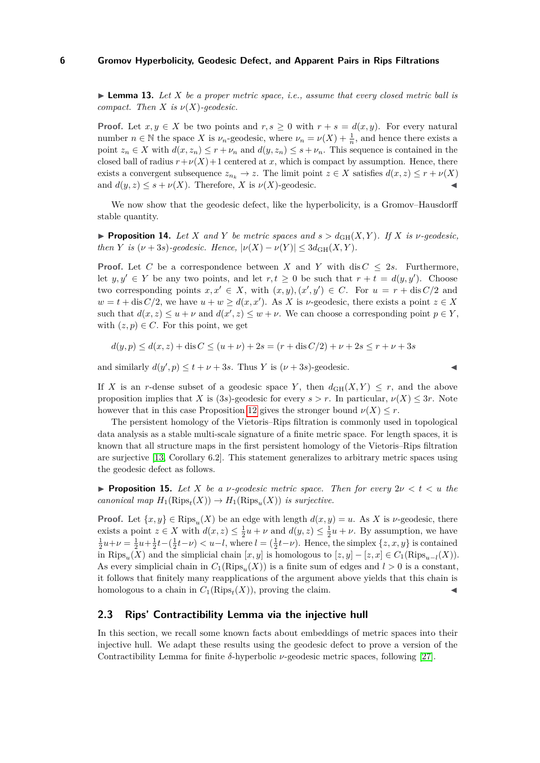$\triangleright$  **Lemma 13.** Let X be a proper metric space, i.e., assume that every closed metric ball is *compact.* Then  $X$  *is*  $\nu(X)$ -geodesic.

**Proof.** Let  $x, y \in X$  be two points and  $r, s \ge 0$  with  $r + s = d(x, y)$ . For every natural number  $n \in \mathbb{N}$  the space *X* is  $\nu_n$ -geodesic, where  $\nu_n = \nu(X) + \frac{1}{n}$ , and hence there exists a point  $z_n \in X$  with  $d(x, z_n) \leq r + \nu_n$  and  $d(y, z_n) \leq s + \nu_n$ . This sequence is contained in the closed ball of radius  $r + \nu(X) + 1$  centered at x, which is compact by assumption. Hence, there exists a convergent subsequence  $z_{n_k} \to z$ . The limit point  $z \in X$  satisfies  $d(x, z) \leq r + \nu(X)$ and  $d(y, z) \leq s + \nu(X)$ . Therefore, *X* is  $\nu(X)$ -geodesic.

We now show that the geodesic defect, like the hyperbolicity, is a Gromov–Hausdorff stable quantity.

**Proposition 14.** Let X and Y be metric spaces and  $s > d_{GH}(X, Y)$ . If X is *v*-geodesic, *then Y is* ( $\nu$  + 3*s*)*-geodesic. Hence,*  $|\nu(X) - \nu(Y)| \leq 3d_{GH}(X, Y)$ .

**Proof.** Let *C* be a correspondence between *X* and *Y* with dis  $C \leq 2s$ . Furthermore, let  $y, y' \in Y$  be any two points, and let  $r, t \geq 0$  be such that  $r + t = d(y, y')$ . Choose two corresponding points  $x, x' \in X$ , with  $(x, y), (x', y') \in C$ . For  $u = r + \text{dis } C/2$  and  $w = t + \text{dis } C/2$ , we have  $u + w \geq d(x, x')$ . As *X* is *v*-geodesic, there exists a point  $z \in X$ such that  $d(x, z) \leq u + \nu$  and  $d(x', z) \leq w + \nu$ . We can choose a corresponding point  $p \in Y$ , with  $(z, p) \in C$ . For this point, we get

$$
d(y, p) \le d(x, z) + \text{dis } C \le (u + \nu) + 2s = (r + \text{dis } C/2) + \nu + 2s \le r + \nu + 3s
$$

and similarly  $d(y', p) \le t + \nu + 3s$ . Thus *Y* is  $(\nu + 3s)$ -geodesic.

If X is an *r*-dense subset of a geodesic space Y, then  $d_{GH}(X, Y) \leq r$ , and the above proposition implies that *X* is (3*s*)-geodesic for every  $s > r$ . In particular,  $\nu(X) \leq 3r$ . Note however that in this case Proposition [12](#page-4-0) gives the stronger bound  $\nu(X) \leq r$ .

The persistent homology of the Vietoris–Rips filtration is commonly used in topological data analysis as a stable multi-scale signature of a finite metric space. For length spaces, it is known that all structure maps in the first persistent homology of the Vietoris–Rips filtration are surjective [\[13,](#page-16-16) Corollary 6.2]. This statement generalizes to arbitrary metric spaces using the geodesic defect as follows.

**Proposition 15.** Let X be a *v*-geodesic metric space. Then for every  $2\nu < t < u$  the *canonical map*  $H_1(\text{Rips}_t(X)) \to H_1(\text{Rips}_u(X))$  *is surjective.* 

**Proof.** Let  $\{x, y\} \in \text{Rips}_u(X)$  be an edge with length  $d(x, y) = u$ . As X is *v*-geodesic, there exists a point  $z \in X$  with  $d(x, z) \leq \frac{1}{2}u + \nu$  and  $d(y, z) \leq \frac{1}{2}u + \nu$ . By assumption, we have  $\frac{1}{2}u+\nu=\frac{1}{2}u+\frac{1}{2}t-(\frac{1}{2}t-\nu), where  $l=(\frac{1}{2}t-\nu)$ . Hence, the simplex  $\{z,x,y\}$  is contained$ in  $\text{Rips}_u(X)$  and the simplicial chain  $[x, y]$  is homologous to  $[z, y] - [z, x] \in C_1(\text{Rips}_{u-l}(X)).$ As every simplicial chain in  $C_1(\text{Rips}_u(X))$  is a finite sum of edges and  $l > 0$  is a constant, it follows that finitely many reapplications of the argument above yields that this chain is homologous to a chain in  $C_1(\text{Rips}_t(X))$ , proving the claim.

## **2.3 Rips' Contractibility Lemma via the injective hull**

In this section, we recall some known facts about embeddings of metric spaces into their injective hull. We adapt these results using the geodesic defect to prove a version of the Contractibility Lemma for finite *δ*-hyperbolic *ν*-geodesic metric spaces, following [\[27\]](#page-17-6).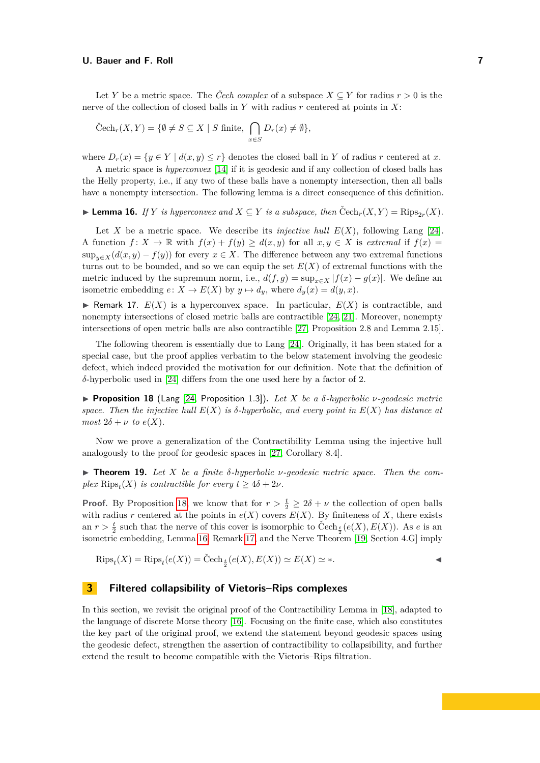Let *Y* be a metric space. The *Čech complex* of a subspace  $X \subseteq Y$  for radius  $r > 0$  is the nerve of the collection of closed balls in *Y* with radius *r* centered at points in *X*:

$$
\check{\mathrm{C}}\mathrm{ech}_r(X,Y) = \{ \emptyset \neq S \subseteq X \mid S \text{ finite}, \bigcap_{x \in S} D_r(x) \neq \emptyset \},\
$$

where  $D_r(x) = \{y \in Y \mid d(x, y) \leq r\}$  denotes the closed ball in *Y* of radius *r* centered at *x*.

A metric space is *hyperconvex* [\[14\]](#page-16-14) if it is geodesic and if any collection of closed balls has the Helly property, i.e., if any two of these balls have a nonempty intersection, then all balls have a nonempty intersection. The following lemma is a direct consequence of this definition.

<span id="page-6-1"></span>► **Lemma 16.** *If*  $Y$  *is hyperconvex and*  $X \subseteq Y$  *is a subspace, then*  $\text{Čech}_r(X, Y) = \text{Rips}_{2r}(X)$ *.* 

Let X be a metric space. We describe its *injective hull*  $E(X)$ , following Lang [\[24\]](#page-17-2). A function  $f: X \to \mathbb{R}$  with  $f(x) + f(y) \geq d(x, y)$  for all  $x, y \in X$  is *extremal* if  $f(x) =$  $\sup_{y \in X} (d(x, y) - f(y))$  for every  $x \in X$ . The difference between any two extremal functions turns out to be bounded, and so we can equip the set  $E(X)$  of extremal functions with the metric induced by the supremum norm, i.e.,  $d(f, g) = \sup_{x \in X} |f(x) - g(x)|$ . We define an isometric embedding  $e: X \to E(X)$  by  $y \mapsto d_y$ , where  $d_y(x) = d(y, x)$ .

<span id="page-6-2"></span>**F** Remark 17.  $E(X)$  is a hyperconvex space. In particular,  $E(X)$  is contractible, and nonempty intersections of closed metric balls are contractible [\[24,](#page-17-2) [21\]](#page-16-17). Moreover, nonempty intersections of open metric balls are also contractible [\[27,](#page-17-6) Proposition 2.8 and Lemma 2.15].

The following theorem is essentially due to Lang [\[24\]](#page-17-2). Originally, it has been stated for a special case, but the proof applies verbatim to the below statement involving the geodesic defect, which indeed provided the motivation for our definition. Note that the definition of *δ*-hyperbolic used in [\[24\]](#page-17-2) differs from the one used here by a factor of 2.

<span id="page-6-0"></span>**Proposition 18** (Lang [\[24,](#page-17-2) Proposition 1.3]). Let X be a  $\delta$ -hyperbolic *v*-geodesic metric *space. Then the injective hull*  $E(X)$  *is*  $\delta$ *-hyperbolic, and every point in*  $E(X)$  *has distance at most*  $2\delta + \nu$  *to*  $e(X)$ *.* 

Now we prove a generalization of the Contractibility Lemma using the injective hull analogously to the proof for geodesic spaces in [\[27,](#page-17-6) Corollary 8.4].

**Figure 19.** *Let X be a finite*  $\delta$ *-hyperbolic v*-geodesic metric space. Then the com*plex*  $\text{Rips}_{t}(X)$  *is contractible for every*  $t \geq 4\delta + 2\nu$ *.* 

**Proof.** By Proposition [18,](#page-6-0) we know that for  $r > \frac{t}{2} \geq 2\delta + \nu$  the collection of open balls with radius *r* centered at the points in  $e(X)$  covers  $E(X)$ . By finiteness of X, there exists an  $r > \frac{t}{2}$  such that the nerve of this cover is isomorphic to  $\text{Čech}_{\frac{t}{2}}(e(X), E(X))$ . As *e* is an isometric embedding, Lemma [16,](#page-6-1) Remark [17,](#page-6-2) and the Nerve Theorem [\[19,](#page-16-18) Section 4.G] imply

$$
\text{Rips}_t(X) = \text{Rips}_t(e(X)) = \text{Čech}_{\frac{t}{2}}(e(X), E(X)) \simeq E(X) \simeq \ast.
$$

# **3 Filtered collapsibility of Vietoris–Rips complexes**

<span id="page-6-3"></span>In this section, we revisit the original proof of the Contractibility Lemma in [\[18\]](#page-16-0), adapted to the language of discrete Morse theory [\[16\]](#page-16-8). Focusing on the finite case, which also constitutes the key part of the original proof, we extend the statement beyond geodesic spaces using the geodesic defect, strengthen the assertion of contractibility to collapsibility, and further extend the result to become compatible with the Vietoris–Rips filtration.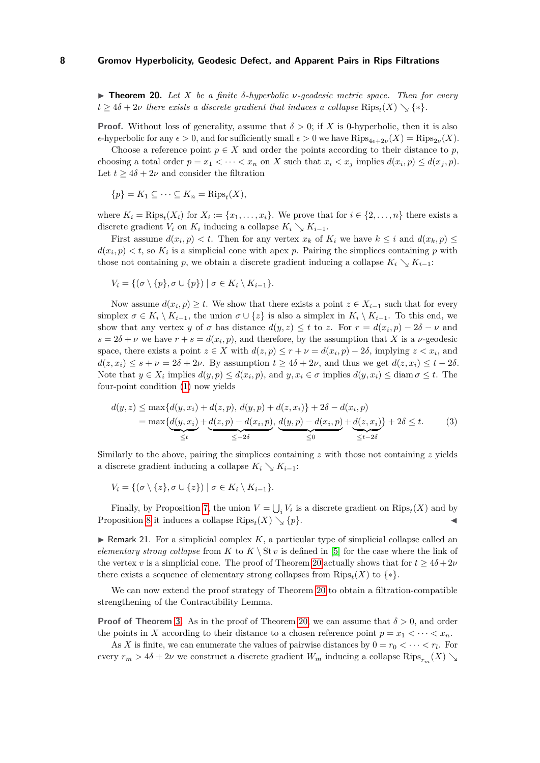I **Theorem 20.** *Let X be a finite δ-hyperbolic ν-geodesic metric space. Then for every*  $t \geq 4\delta + 2\nu$  *there exists a discrete gradient that induces a collapse*  $Rips_t(X) \searrow$   $\{*\}$ *.* 

**Proof.** Without loss of generality, assume that  $\delta > 0$ ; if X is 0-hyperbolic, then it is also  $\epsilon$ -hyperbolic for any  $\epsilon > 0$ , and for sufficiently small  $\epsilon > 0$  we have  $Rips_{4\epsilon+2\nu}(X) = Rips_{2\nu}(X)$ .

Choose a reference point  $p \in X$  and order the points according to their distance to  $p$ , choosing a total order  $p = x_1 < \cdots < x_n$  on *X* such that  $x_i < x_j$  implies  $d(x_i, p) \leq d(x_j, p)$ . Let  $t \geq 4\delta + 2\nu$  and consider the filtration

$$
\{p\} = K_1 \subseteq \cdots \subseteq K_n = \text{Rips}_t(X),
$$

where  $K_i = \text{Rips}_t(X_i)$  for  $X_i := \{x_1, \ldots, x_i\}$ . We prove that for  $i \in \{2, \ldots, n\}$  there exists a discrete gradient  $V_i$  on  $K_i$  inducing a collapse  $K_i \searrow K_{i-1}$ .

First assume  $d(x_i, p) < t$ . Then for any vertex  $x_k$  of  $K_i$  we have  $k \leq i$  and  $d(x_k, p) \leq$  $d(x_i, p) < t$ , so  $K_i$  is a simplicial cone with apex *p*. Pairing the simplices containing *p* with those not containing *p*, we obtain a discrete gradient inducing a collapse  $K_i \searrow K_{i-1}$ :

$$
V_i = \{ (\sigma \setminus \{p\}, \sigma \cup \{p\}) \mid \sigma \in K_i \setminus K_{i-1} \}.
$$

Now assume  $d(x_i, p) \geq t$ . We show that there exists a point  $z \in X_{i-1}$  such that for every simplex  $\sigma \in K_i \setminus K_{i-1}$ , the union  $\sigma \cup \{z\}$  is also a simplex in  $K_i \setminus K_{i-1}$ . To this end, we show that any vertex *y* of  $\sigma$  has distance  $d(y, z) \leq t$  to *z*. For  $r = d(x_i, p) - 2\delta - \nu$  and  $s = 2\delta + \nu$  we have  $r + s = d(x_i, p)$ , and therefore, by the assumption that *X* is a *v*-geodesic space, there exists a point  $z \in X$  with  $d(z, p) \le r + \nu = d(x_i, p) - 2\delta$ , implying  $z < x_i$ , and  $d(z, x_i) \leq s + \nu = 2\delta + 2\nu$ . By assumption  $t > 4\delta + 2\nu$ , and thus we get  $d(z, x_i) \leq t - 2\delta$ . Note that  $y \in X_i$  implies  $d(y, p) \leq d(x_i, p)$ , and  $y, x_i \in \sigma$  implies  $d(y, x_i) \leq d$ iam  $\sigma \leq t$ . The four-point condition [\(1\)](#page-1-1) now yields

<span id="page-7-0"></span>
$$
d(y, z) \le \max\{d(y, x_i) + d(z, p), d(y, p) + d(z, x_i)\} + 2\delta - d(x_i, p)
$$
  
=  $\max\{d(y, x_i) + d(z, p) - d(x_i, p), d(y, p) - d(x_i, p) + d(z, x_i)\} + 2\delta \le t.$  (3)  
 $\le t$  (3)

Similarly to the above, pairing the simplices containing  $z$  with those not containing  $z$  yields a discrete gradient inducing a collapse  $K_i \searrow K_{i-1}$ :

$$
V_i = \{ (\sigma \setminus \{z\}, \sigma \cup \{z\}) \mid \sigma \in K_i \setminus K_{i-1} \}.
$$

Finally, by Proposition [7,](#page-2-0) the union  $V = \bigcup_i V_i$  is a discrete gradient on  $\text{Rips}_t(X)$  and by Proposition [8](#page-3-0) it induces a collapse  $\text{Rips}_t(X) \searrow \{p\}.$ 

<span id="page-7-1"></span> $\triangleright$  Remark 21. For a simplicial complex *K*, a particular type of simplicial collapse called an *elementary strong collapse* from *K* to  $K \setminus St v$  is defined in [\[5\]](#page-16-19) for the case where the link of the vertex *v* is a simplicial cone. The proof of Theorem [20](#page-6-3) actually shows that for  $t \geq 4\delta + 2\nu$ there exists a sequence of elementary strong collapses from  $Rips_t(X)$  to  $\{*\}$ .

We can now extend the proof strategy of Theorem [20](#page-6-3) to obtain a filtration-compatible strengthening of the Contractibility Lemma.

**Proof of Theorem [3.](#page-1-0)** As in the proof of Theorem [20,](#page-6-3) we can assume that  $\delta > 0$ , and order the points in *X* according to their distance to a chosen reference point  $p = x_1 < \cdots < x_n$ .

As *X* is finite, we can enumerate the values of pairwise distances by  $0 = r_0 < \cdots < r_l$ . For every  $r_m > 4\delta + 2\nu$  we construct a discrete gradient  $W_m$  inducing a collapse  $Rips_{r_m}(X) \searrow$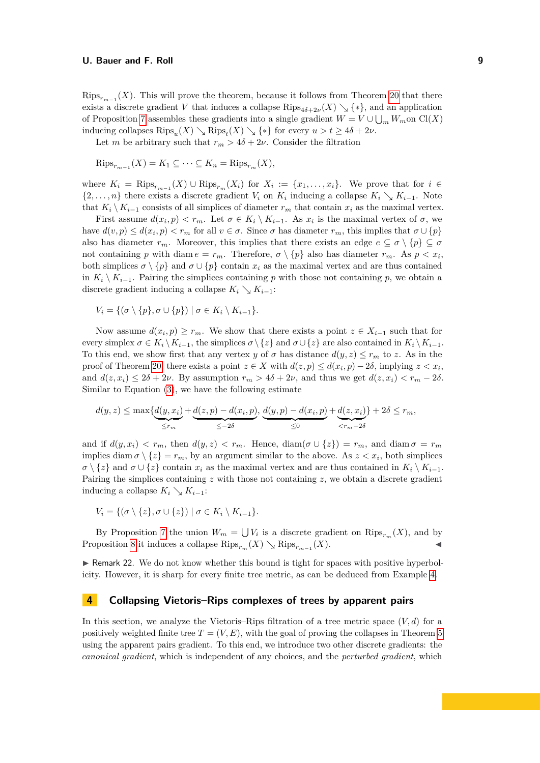$Rips_{r_{m-1}}(X)$ . This will prove the theorem, because it follows from Theorem [20](#page-6-3) that there exists a discrete gradient *V* that induces a collapse  $\text{Rips}_{4\delta+2\nu}(X) \searrow {\ast}$ , and an application of Proposition [7](#page-2-0) assembles these gradients into a single gradient  $W = V \cup \bigcup_m W_m$  on  $Cl(X)$ inducing collapses  $Rips_u(X) \searrow Rips_t(X) \searrow {\ast}$  for every  $u > t \ge 4\delta + 2\nu$ .

Let *m* be arbitrary such that  $r_m > 4\delta + 2\nu$ . Consider the filtration

$$
\text{Rips}_{r_{m-1}}(X) = K_1 \subseteq \cdots \subseteq K_n = \text{Rips}_{r_m}(X),
$$

where  $K_i = \text{Rips}_{r_{m-1}}(X) \cup \text{Rips}_{r_m}(X_i)$  for  $X_i := \{x_1, \ldots, x_i\}$ . We prove that for  $i \in$  $\{2, \ldots, n\}$  there exists a discrete gradient  $V_i$  on  $K_i$  inducing a collapse  $K_i \searrow K_{i-1}$ . Note that  $K_i \setminus K_{i-1}$  consists of all simplices of diameter  $r_m$  that contain  $x_i$  as the maximal vertex.

First assume  $d(x_i, p) < r_m$ . Let  $\sigma \in K_i \setminus K_{i-1}$ . As  $x_i$  is the maximal vertex of  $\sigma$ , we have  $d(v, p) \leq d(x_i, p) < r_m$  for all  $v \in \sigma$ . Since  $\sigma$  has diameter  $r_m$ , this implies that  $\sigma \cup \{p\}$ also has diameter  $r_m$ . Moreover, this implies that there exists an edge  $e \subseteq \sigma \setminus \{p\} \subseteq \sigma$ not containing *p* with diam  $e = r_m$ . Therefore,  $\sigma \setminus \{p\}$  also has diameter  $r_m$ . As  $p < x_i$ , both simplices  $\sigma \setminus \{p\}$  and  $\sigma \cup \{p\}$  contain  $x_i$  as the maximal vertex and are thus contained in  $K_i \setminus K_{i-1}$ . Pairing the simplices containing *p* with those not containing *p*, we obtain a discrete gradient inducing a collapse  $K_i \searrow K_{i-1}$ :

$$
V_i = \{ (\sigma \setminus \{p\}, \sigma \cup \{p\}) \mid \sigma \in K_i \setminus K_{i-1} \}.
$$

Now assume  $d(x_i, p) \geq r_m$ . We show that there exists a point  $z \in X_{i-1}$  such that for every simplex  $\sigma \in K_i \setminus K_{i-1}$ , the simplices  $\sigma \setminus \{z\}$  and  $\sigma \cup \{z\}$  are also contained in  $K_i \setminus K_{i-1}$ . To this end, we show first that any vertex *y* of  $\sigma$  has distance  $d(y, z) \leq r_m$  to *z*. As in the proof of Theorem [20,](#page-6-3) there exists a point  $z \in X$  with  $d(z, p) \leq d(x_i, p) - 2\delta$ , implying  $z < x_i$ , and  $d(z, x_i) \leq 2\delta + 2\nu$ . By assumption  $r_m > 4\delta + 2\nu$ , and thus we get  $d(z, x_i) < r_m - 2\delta$ . Similar to Equation [\(3\)](#page-7-0), we have the following estimate

$$
d(y,z) \le \max\{d(y,x_i)+d(z,p)-d(x_i,p), d(y,p)-d(x_i,p)+d(z,x_i)\}+2\delta \le r_m,
$$
  

$$
\le r_m
$$

and if  $d(y, x_i) < r_m$ , then  $d(y, z) < r_m$ . Hence,  $\text{diam}(\sigma \cup \{z\}) = r_m$ , and  $\text{diam}\,\sigma = r_m$ implies diam  $\sigma \setminus \{z\} = r_m$ , by an argument similar to the above. As  $z < x_i$ , both simplices  $\sigma \setminus \{z\}$  and  $\sigma \cup \{z\}$  contain  $x_i$  as the maximal vertex and are thus contained in  $K_i \setminus K_{i-1}$ . Pairing the simplices containing  $z$  with those not containing  $z$ , we obtain a discrete gradient inducing a collapse  $K_i \searrow K_{i-1}$ :

$$
V_i = \{ (\sigma \setminus \{z\}, \sigma \cup \{z\}) \mid \sigma \in K_i \setminus K_{i-1} \}.
$$

By Proposition [7](#page-2-0) the union  $W_m = \bigcup V_i$  is a discrete gradient on  $\text{Rips}_{r_m}(X)$ , and by Proposition [8](#page-3-0) it induces a collapse  $Rips_{r_m}(X) \searrow Rips_{r_{m-1}}(X)$ .

 $\triangleright$  Remark 22. We do not know whether this bound is tight for spaces with positive hyperbolicity. However, it is sharp for every finite tree metric, as can be deduced from Example [4.](#page-1-2)

# **4 Collapsing Vietoris–Rips complexes of trees by apparent pairs**

In this section, we analyze the Vietoris–Rips filtration of a tree metric space  $(V, d)$  for a positively weighted finite tree  $T = (V, E)$ , with the goal of proving the collapses in Theorem [5](#page-1-3) using the apparent pairs gradient. To this end, we introduce two other discrete gradients: the *canonical gradient*, which is independent of any choices, and the *perturbed gradient*, which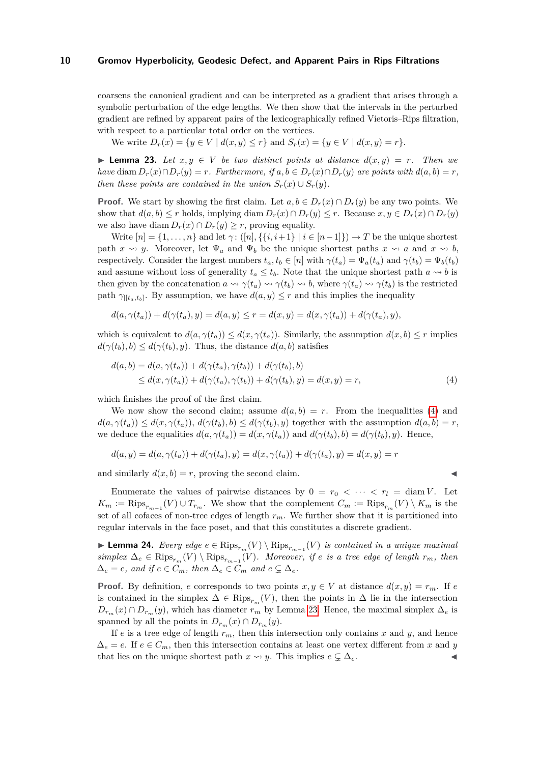coarsens the canonical gradient and can be interpreted as a gradient that arises through a symbolic perturbation of the edge lengths. We then show that the intervals in the perturbed gradient are refined by apparent pairs of the lexicographically refined Vietoris–Rips filtration, with respect to a particular total order on the vertices.

We write  $D_r(x) = \{y \in V \mid d(x, y) \leq r\}$  and  $S_r(x) = \{y \in V \mid d(x, y) = r\}.$ 

<span id="page-9-1"></span>**► Lemma 23.** Let  $x, y \in V$  be two distinct points at distance  $d(x, y) = r$ . Then we have diam  $D_r(x) \cap D_r(y) = r$ . Furthermore, if  $a, b \in D_r(x) \cap D_r(y)$  are points with  $d(a, b) = r$ , *then these points are contained in the union*  $S_r(x) \cup S_r(y)$ .

**Proof.** We start by showing the first claim. Let  $a, b \in D_r(x) \cap D_r(y)$  be any two points. We show that  $d(a, b) \leq r$  holds, implying diam  $D_r(x) \cap D_r(y) \leq r$ . Because  $x, y \in D_r(x) \cap D_r(y)$ we also have diam  $D_r(x) \cap D_r(y) \geq r$ , proving equality.

Write  $[n] = \{1, \ldots, n\}$  and let  $\gamma: (\lfloor n \rfloor, \{i, i+1\} \mid i \in [n-1]\}) \to T$  be the unique shortest path  $x \rightsquigarrow y$ . Moreover, let  $\Psi_a$  and  $\Psi_b$  be the unique shortest paths  $x \rightsquigarrow a$  and  $x \rightsquigarrow b$ , respectively. Consider the largest numbers  $t_a, t_b \in [n]$  with  $\gamma(t_a) = \Psi_a(t_a)$  and  $\gamma(t_b) = \Psi_b(t_b)$ and assume without loss of generality  $t_a \leq t_b$ . Note that the unique shortest path  $a \rightsquigarrow b$  is then given by the concatenation  $a \rightsquigarrow \gamma(t_a) \rightsquigarrow \gamma(t_b) \rightsquigarrow b$ , where  $\gamma(t_a) \rightsquigarrow \gamma(t_b)$  is the restricted path  $\gamma_{|[t_a,t_b]}$ . By assumption, we have  $d(a, y) \leq r$  and this implies the inequality

$$
d(a, \gamma(t_a)) + d(\gamma(t_a), y) = d(a, y) \le r = d(x, y) = d(x, \gamma(t_a)) + d(\gamma(t_a), y),
$$

which is equivalent to  $d(a, \gamma(t_a)) \leq d(x, \gamma(t_a))$ . Similarly, the assumption  $d(x, b) \leq r$  implies  $d(\gamma(t_b), b) \leq d(\gamma(t_b), y)$ . Thus, the distance  $d(a, b)$  satisfies

<span id="page-9-0"></span>
$$
d(a,b) = d(a, \gamma(t_a)) + d(\gamma(t_a), \gamma(t_b)) + d(\gamma(t_b), b)
$$
  
\n
$$
\leq d(x, \gamma(t_a)) + d(\gamma(t_a), \gamma(t_b)) + d(\gamma(t_b), y) = d(x, y) = r,
$$
\n(4)

which finishes the proof of the first claim.

We now show the second claim; assume  $d(a, b) = r$ . From the inequalities [\(4\)](#page-9-0) and  $d(a, \gamma(t_a)) \leq d(x, \gamma(t_a)), d(\gamma(t_b), b) \leq d(\gamma(t_b), y)$  together with the assumption  $d(a, b) = r$ , we deduce the equalities  $d(a, \gamma(t_a)) = d(x, \gamma(t_a))$  and  $d(\gamma(t_b), b) = d(\gamma(t_b), y)$ . Hence,

$$
d(a, y) = d(a, \gamma(t_a)) + d(\gamma(t_a), y) = d(x, \gamma(t_a)) + d(\gamma(t_a), y) = d(x, y) = r
$$

and similarly  $d(x, b) = r$ , proving the second claim.

Enumerate the values of pairwise distances by  $0 = r_0 < \cdots < r_l = \text{diam } V$ . Let  $K_m := \text{Rips}_{r_{m-1}}(V) \cup T_{r_m}$ . We show that the complement  $C_m := \text{Rips}_{r_m}(V) \setminus K_m$  is the set of all cofaces of non-tree edges of length  $r_m$ . We further show that it is partitioned into regular intervals in the face poset, and that this constitutes a discrete gradient.

<span id="page-9-2"></span>▶ **Lemma 24.** *Every edge*  $e \in \text{Rips}_{r_m}(V) \setminus \text{Rips}_{r_{m-1}}(V)$  *is contained in a unique maximal*  $simpler \Delta_e \in \text{Rips}_{r_m}(V) \setminus \text{Rips}_{r_{m-1}}(V)$ *. Moreover, if e is a tree edge of length*  $r_m$ *, then*  $\Delta_e = e$ , and if  $e \in C_m$ , then  $\Delta_e \in C_m$  and  $e \subsetneq \Delta_e$ .

**Proof.** By definition, *e* corresponds to two points  $x, y \in V$  at distance  $d(x, y) = r_m$ . If *e* is contained in the simplex  $\Delta \in \text{Rips}_{r_m}(V)$ , then the points in  $\Delta$  lie in the intersection  $D_{r_m}(x) \cap D_{r_m}(y)$ , which has diameter  $r_m$  by Lemma [23.](#page-9-1) Hence, the maximal simplex  $\Delta_e$  is spanned by all the points in  $D_{r_m}(x) \cap D_{r_m}(y)$ .

If  $e$  is a tree edge of length  $r_m$ , then this intersection only contains  $x$  and  $y$ , and hence  $\Delta_e = e$ . If  $e \in C_m$ , then this intersection contains at least one vertex different from *x* and *y* that lies on the unique shortest path  $x \rightsquigarrow y$ . This implies  $e \subsetneq \Delta_e$ .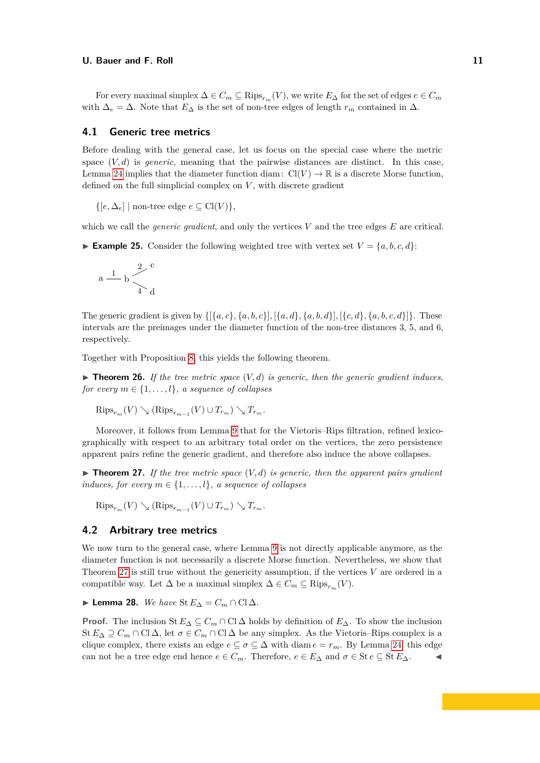For every maximal simplex  $\Delta \in C_m \subseteq \text{Rips}_{r_m}(V)$ , we write  $E_{\Delta}$  for the set of edges  $e \in C_m$ with  $\Delta_e = \Delta$ . Note that  $E_{\Delta}$  is the set of non-tree edges of length  $r_m$  contained in  $\Delta$ .

## <span id="page-10-4"></span>**4.1 Generic tree metrics**

Before dealing with the general case, let us focus on the special case where the metric space  $(V, d)$  is *generic*, meaning that the pairwise distances are distinct. In this case, Lemma [24](#page-9-2) implies that the diameter function diam:  $Cl(V) \to \mathbb{R}$  is a discrete Morse function, defined on the full simplicial complex on *V* , with discrete gradient

 $\{[e, \Delta_e] \mid \text{non-tree edge } e \subseteq \text{Cl}(V)\},\$ 

which we call the *generic gradient*, and only the vertices V and the tree edges E are critical.

**Example 25.** Consider the following weighted tree with vertex set  $V = \{a, b, c, d\}$ :

$$
a \xrightarrow{1} b \xrightarrow{2} c
$$
  
4 d

The generic gradient is given by  $\{[\{a, c\}, \{a, b, c\}], [\{a, d\}, \{a, b, d\}], [\{c, d\}, \{a, b, c, d\}]\}.$  These intervals are the preimages under the diameter function of the non-tree distances 3, 5, and 6, respectively.

<span id="page-10-2"></span>Together with Proposition [8,](#page-3-0) this yields the following theorem.

 $\triangleright$  **Theorem 26.** If the tree metric space  $(V, d)$  is generic, then the generic gradient induces, *for every*  $m \in \{1, \ldots, l\}$ *, a sequence of collapses* 

 $Rips_{r_m}(V) \searrow (Rips_{r_{m-1}}(V) \cup T_{r_m}) \searrow T_{r_m}.$ 

Moreover, it follows from Lemma [9](#page-3-1) that for the Vietoris–Rips filtration, refined lexicographically with respect to an arbitrary total order on the vertices, the zero persistence apparent pairs refine the generic gradient, and therefore also induce the above collapses.

<span id="page-10-0"></span> $\triangleright$  **Theorem 27.** If the tree metric space  $(V, d)$  is generic, then the apparent pairs gradient *induces, for every*  $m \in \{1, \ldots, l\}$ *, a sequence of collapses* 

 $Rips_{r_m}(V) \searrow (Rips_{r_{m-1}}(V) \cup T_{r_m}) \searrow T_{r_m}.$ 

# **4.2 Arbitrary tree metrics**

We now turn to the general case, where Lemma [9](#page-3-1) is not directly applicable anymore, as the diameter function is not necessarily a discrete Morse function. Nevertheless, we show that Theorem [27](#page-10-0) is still true without the genericity assumption, if the vertices *V* are ordered in a compatible way. Let  $\Delta$  be a maximal simplex  $\Delta \in C_m \subseteq \text{Rips}_{r_m}(V)$ .

<span id="page-10-1"></span> $\blacktriangleright$  **Lemma 28.** *We have* St  $E_\Delta = C_m \cap \text{Cl} \Delta$ *.* 

<span id="page-10-3"></span>**Proof.** The inclusion St  $E_{\Delta} \subseteq C_m \cap \text{Cl } \Delta$  holds by definition of  $E_{\Delta}$ . To show the inclusion St  $E_{\Delta} \supseteq C_m \cap \text{Cl } \Delta$ , let  $\sigma \in C_m \cap \text{Cl } \Delta$  be any simplex. As the Vietoris–Rips complex is a clique complex, there exists an edge  $e \subseteq \sigma \subseteq \Delta$  with diam  $e = r_m$ . By Lemma [24,](#page-9-2) this edge can not be a tree edge end hence  $e \in C_m$ . Therefore,  $e \in E_\Delta$  and  $\sigma \in \text{St } e \subseteq \text{St } E_\Delta$ .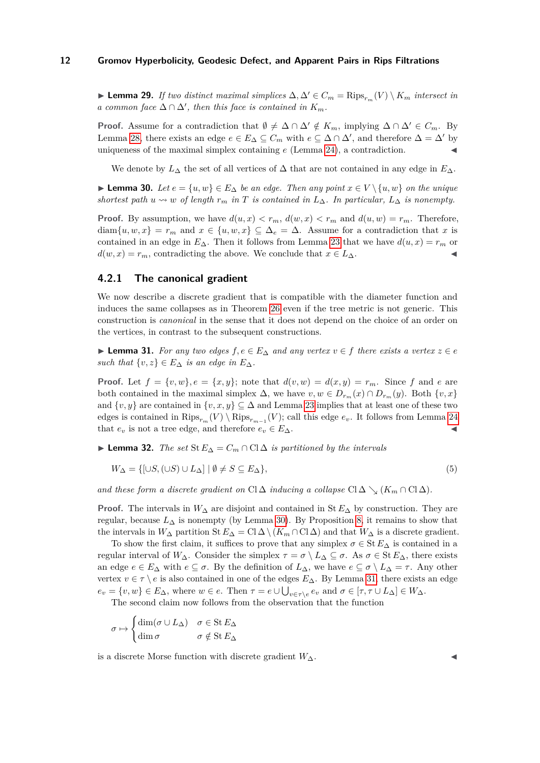**► Lemma 29.** *If two distinct maximal simplices*  $\Delta, \Delta' \in C_m = \text{Rips}_{r_m}(V) \setminus K_m$  *intersect in a* common face  $\Delta \cap \Delta'$ , then this face is contained in  $K_m$ .

**Proof.** Assume for a contradiction that  $\emptyset \neq \Delta \cap \Delta' \notin K_m$ , implying  $\Delta \cap \Delta' \in C_m$ . By Lemma [28,](#page-10-1) there exists an edge  $e \in E_{\Delta} \subseteq C_m$  with  $e \subseteq \Delta \cap \Delta'$ , and therefore  $\Delta = \Delta'$  by uniqueness of the maximal simplex containing  $e$  (Lemma [24\)](#page-9-2), a contradiction.

We denote by  $L_{\Delta}$  the set of all vertices of  $\Delta$  that are not contained in any edge in  $E_{\Delta}$ .

<span id="page-11-0"></span>**► Lemma 30.** *Let*  $e = \{u, w\} \in E_{\Delta}$  *be an edge. Then any point*  $x \in V \setminus \{u, w\}$  *on the unique shortest path*  $u \rightsquigarrow w$  *of length*  $r_m$  *in T is contained in*  $L_{\Delta}$ *. In particular,*  $L_{\Delta}$  *is nonempty.* 

**Proof.** By assumption, we have  $d(u, x) < r_m$ ,  $d(w, x) < r_m$  and  $d(u, w) = r_m$ . Therefore, diam $\{u, w, x\} = r_m$  and  $x \in \{u, w, x\} \subseteq \Delta_e = \Delta$ . Assume for a contradiction that x is contained in an edge in  $E_{\Delta}$ . Then it follows from Lemma [23](#page-9-1) that we have  $d(u, x) = r_m$  or  $d(w, x) = r_m$ , contradicting the above. We conclude that  $x \in L_{\Delta}$ .

## **4.2.1 The canonical gradient**

We now describe a discrete gradient that is compatible with the diameter function and induces the same collapses as in Theorem [26](#page-10-2) even if the tree metric is not generic. This construction is *canonical* in the sense that it does not depend on the choice of an order on the vertices, in contrast to the subsequent constructions.

<span id="page-11-1"></span>**► Lemma 31.** *For any two edges*  $f, e \in E_{\Delta}$  *and any vertex*  $v \in f$  *there exists a vertex*  $z \in e$ *such that*  $\{v, z\} \in E_\wedge$  *is an edge in*  $E_\wedge$ *.* 

**Proof.** Let  $f = \{v, w\}, e = \{x, y\}$ ; note that  $d(v, w) = d(x, y) = r_m$ . Since f and e are both contained in the maximal simplex  $\Delta$ , we have  $v, w \in D_{r_m}(x) \cap D_{r_m}(y)$ . Both  $\{v, x\}$ and  $\{v, y\}$  are contained in  $\{v, x, y\} \subseteq \Delta$  and Lemma [23](#page-9-1) implies that at least one of these two edges is contained in  $Rips_{r_m}(V) \setminus Rips_{r_{m-1}}(V)$ ; call this edge  $e_v$ . It follows from Lemma [24](#page-9-2) that  $e_v$  is not a tree edge, and therefore  $e_v \in E_{\Delta}$ .

<span id="page-11-3"></span> $\blacktriangleright$  **Lemma 32.** *The set* St  $E_{\Delta} = C_m \cap \text{Cl} \Delta$  *is partitioned by the intervals* 

<span id="page-11-2"></span>
$$
W_{\Delta} = \{ [\cup S, (\cup S) \cup L_{\Delta}] \mid \emptyset \neq S \subseteq E_{\Delta} \},\tag{5}
$$

*and these form a discrete gradient on*  $Cl \Delta$  *inducing a collapse*  $Cl \Delta \setminus (K_m \cap Cl \Delta)$ *.* 

**Proof.** The intervals in  $W_{\Delta}$  are disjoint and contained in St  $E_{\Delta}$  by construction. They are regular, because  $L_{\Delta}$  is nonempty (by Lemma [30\)](#page-11-0). By Proposition [8,](#page-3-0) it remains to show that the intervals in  $W_{\Delta}$  partition St  $E_{\Delta} = \text{Cl } \Delta \setminus (K_m \cap \text{Cl } \Delta)$  and that  $W_{\Delta}$  is a discrete gradient.

To show the first claim, it suffices to prove that any simplex  $\sigma \in \text{St } E_\Delta$  is contained in a regular interval of *W*∆. Consider the simplex *τ* = *σ* \ *L*<sup>∆</sup> ⊆ *σ*. As *σ* ∈ St *E*∆, there exists an edge  $e \in E_{\Delta}$  with  $e \subseteq \sigma$ . By the definition of  $L_{\Delta}$ , we have  $e \subseteq \sigma \setminus L_{\Delta} = \tau$ . Any other vertex  $v \in \tau \setminus e$  is also contained in one of the edges  $E_{\Delta}$ . By Lemma [31,](#page-11-1) there exists an edge  $e_v = \{v, w\} \in E_\Delta$ , where  $w \in e$ . Then  $\tau = e \cup \bigcup_{v \in \tau \setminus e} e_v$  and  $\sigma \in [\tau, \tau \cup L_\Delta] \in W_\Delta$ .

The second claim now follows from the observation that the function

$$
\sigma \mapsto \begin{cases} \dim(\sigma \cup L_{\Delta}) & \sigma \in \text{St } E_{\Delta} \\ \dim \sigma & \sigma \notin \text{St } E_{\Delta} \end{cases}
$$

<span id="page-11-4"></span>is a discrete Morse function with discrete gradient  $W_{\Delta}$ .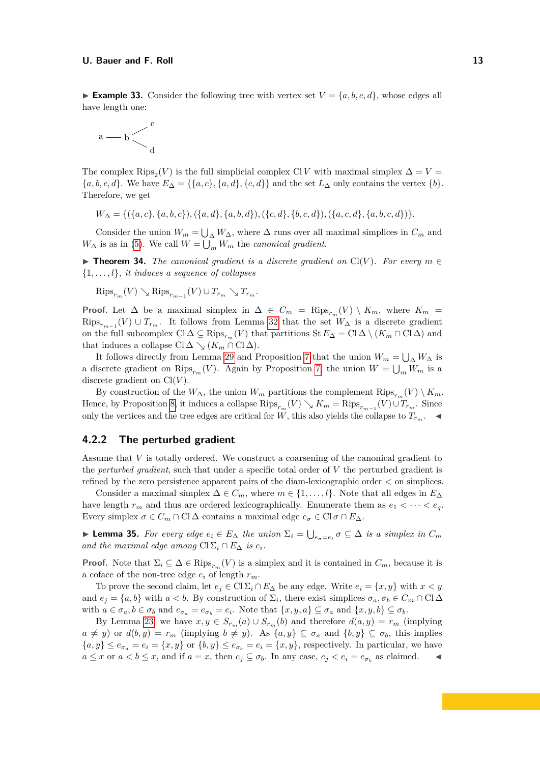**Example 33.** Consider the following tree with vertex set  $V = \{a, b, c, d\}$ , whose edges all have length one:

$$
a \longrightarrow \begin{matrix} & c \\ & \searrow \\ & d \end{matrix}
$$

The complex  $\text{Rips}_2(V)$  is the full simplicial complex Cl *V* with maximal simplex  $\Delta = V =$  ${a, b, c, d}$ . We have  $E_\Delta = {\{a, c\}, \{a, d\}, \{c, d\}}$  and the set  $L_\Delta$  only contains the vertex  ${b}$ . Therefore, we get

$$
W_{\Delta} = \{ (\{a,c\}, \{a,b,c\}), (\{a,d\}, \{a,b,d\}), (\{c,d\}, \{b,c,d\}), (\{a,c,d\}, \{a,b,c,d\}) \}.
$$

Consider the union  $W_m = \bigcup_{\Delta} W_{\Delta}$ , where  $\Delta$  runs over all maximal simplices in  $C_m$  and  $W_{\Delta}$  is as in [\(5\)](#page-11-2). We call  $W = \bigcup_m W_m$  the *canonical gradient*.

<span id="page-12-0"></span>**► Theorem 34.** The canonical gradient is a discrete gradient on  $Cl(V)$ . For every  $m \in$ {1*, . . . , l*}*, it induces a sequence of collapses*

 $Rips_{r_m}(V) \searrow Rips_{r_{m-1}}(V) \cup T_{r_m} \searrow T_{r_m}.$ 

**Proof.** Let  $\Delta$  be a maximal simplex in  $\Delta \in C_m$  = Rips<sub> $r_m(V) \setminus K_m$ , where  $K_m$  =</sub>  $Rips_{r_{m-1}}(V) \cup T_{r_m}$ . It follows from Lemma [32](#page-11-3) that the set  $W_{\Delta}$  is a discrete gradient on the full subcomplex  $Cl \Delta \subseteq \text{Rips}_{r_m}(V)$  that partitions  $\text{St } E_\Delta = Cl \Delta \setminus (K_m \cap Cl \Delta)$  and that induces a collapse  $\text{Cl}\,\Delta \searrow (K_m \cap \text{Cl}\,\Delta).$ 

It follows directly from Lemma [29](#page-10-3) and Proposition [7](#page-2-0) that the union  $W_m = \bigcup_{\Delta} W_{\Delta}$  is a discrete gradient on  $\text{Rips}_{r_m}(V)$ . Again by Proposition [7,](#page-2-0) the union  $W = \bigcup_m W_m$  is a discrete gradient on  $Cl(V)$ .

By construction of the  $W_{\Delta}$ , the union  $W_m$  partitions the complement  $Rips_{r_m}(V) \setminus K_m$ . Hence, by Proposition [8,](#page-3-0) it induces a collapse  $Rips_{r_m}(V) \searrow K_m = Rips_{r_{m-1}}(V) \cup T_{r_m}$ . Since only the vertices and the tree edges are critical for *W*, this also yields the collapse to  $T_{r_m}$ .

# **4.2.2 The perturbed gradient**

Assume that *V* is totally ordered. We construct a coarsening of the canonical gradient to the *perturbed gradient*, such that under a specific total order of *V* the perturbed gradient is refined by the zero persistence apparent pairs of the diam-lexicographic order *<* on simplices.

Consider a maximal simplex  $\Delta \in C_m$ , where  $m \in \{1, \ldots, l\}$ . Note that all edges in  $E_{\Delta}$ have length  $r_m$  and thus are ordered lexicographically. Enumerate them as  $e_1 < \cdots < e_q$ . Every simplex  $\sigma \in C_m \cap \text{Cl}\Delta$  contains a maximal edge  $e_{\sigma} \in \text{Cl}\,\sigma \cap E_{\Delta}$ .

<span id="page-12-1"></span>► **Lemma 35.** *For every edge*  $e_i \in E_{\Delta}$  *the union*  $\Sigma_i = \bigcup_{e_{\sigma} = e_i} \sigma \subseteq \Delta$  *is a simplex in*  $C_m$ *and the maximal edge among*  $\text{Cl}\Sigma_i \cap E_\Delta$  *is e<sub>i</sub>*.

**Proof.** Note that  $\Sigma_i \subseteq \Delta \in \text{Rips}_{r_m}(V)$  is a simplex and it is contained in  $C_m$ , because it is a coface of the non-tree edge  $e_i$  of length  $r_m$ .

To prove the second claim, let  $e_j \in \text{Cl} \Sigma_i \cap E_\Delta$  be any edge. Write  $e_i = \{x, y\}$  with  $x \leq y$ and  $e_j = \{a, b\}$  with  $a < b$ . By construction of  $\Sigma_i$ , there exist simplices  $\sigma_a, \sigma_b \in C_m \cap \mathbb{C} \setminus \Delta$ with  $a \in \sigma_a, b \in \sigma_b$  and  $e_{\sigma_a} = e_{\sigma_b} = e_i$ . Note that  $\{x, y, a\} \subseteq \sigma_a$  and  $\{x, y, b\} \subseteq \sigma_b$ .

By Lemma [23,](#page-9-1) we have  $x, y \in S_{r_m}(a) \cup S_{r_m}(b)$  and therefore  $d(a, y) = r_m$  (implying  $a \neq y$ ) or  $d(b, y) = r_m$  (implying  $b \neq y$ ). As  $\{a, y\} \subseteq \sigma_a$  and  $\{b, y\} \subseteq \sigma_b$ , this implies  ${a, y} \le e_{\sigma_a} = e_i = {x, y}$  or  ${b, y} \le e_{\sigma_b} = e_i = {x, y}$ , respectively. In particular, we have  $a \leq x$  or  $a < b \leq x$ , and if  $a = x$ , then  $e_j \subseteq \sigma_b$ . In any case,  $e_j < e_i = e_{\sigma_b}$  as claimed.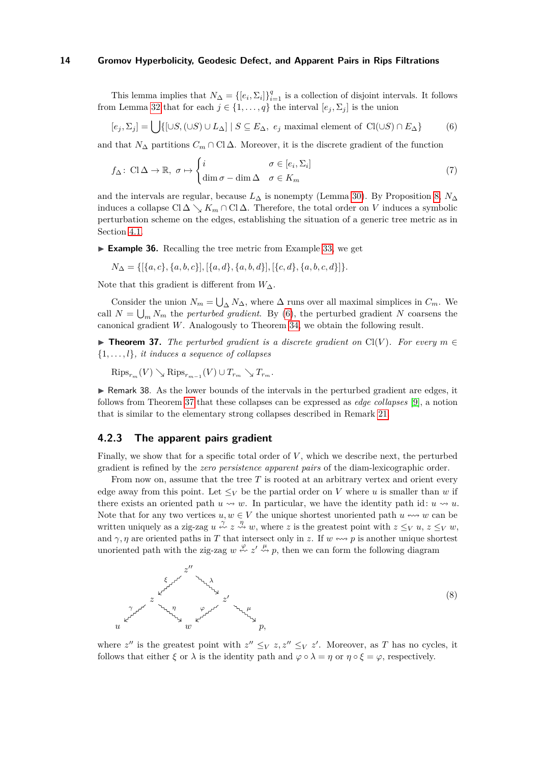This lemma implies that  $N_{\Delta} = \{ [e_i, \Sigma_i] \}_{i=1}^q$  is a collection of disjoint intervals. It follows from Lemma [32](#page-11-3) that for each  $j \in \{1, \ldots, q\}$  the interval  $[e_i, \Sigma_j]$  is the union

<span id="page-13-0"></span>
$$
[e_j, \Sigma_j] = \bigcup \{ [\cup S, (\cup S) \cup L_\Delta] \mid S \subseteq E_\Delta, e_j \text{ maximal element of } Cl(\cup S) \cap E_\Delta \}
$$
(6)

and that  $N_{\Delta}$  partitions  $C_m \cap \text{Cl}\Delta$ . Moreover, it is the discrete gradient of the function

<span id="page-13-2"></span>
$$
f_{\Delta}: \text{Cl}\,\Delta \to \mathbb{R}, \ \sigma \mapsto \begin{cases} i & \sigma \in [e_i, \Sigma_i] \\ \dim \sigma - \dim \Delta & \sigma \in K_m \end{cases} \tag{7}
$$

and the intervals are regular, because  $L_{\Delta}$  is nonempty (Lemma [30\)](#page-11-0). By Proposition [8,](#page-3-0)  $N_{\Delta}$ induces a collapse  $Cl \Delta \searrow K_m \cap Cl \Delta$ . Therefore, the total order on *V* induces a symbolic perturbation scheme on the edges, establishing the situation of a generic tree metric as in Section [4.1.](#page-10-4)

<span id="page-13-4"></span>► **Example 36.** Recalling the tree metric from Example [33,](#page-11-4) we get

$$
N_{\Delta} = \{ [\{a, c\}, \{a, b, c\}], [\{a, d\}, \{a, b, d\}], [\{c, d\}, \{a, b, c, d\}]\}.
$$

Note that this gradient is different from *W*∆.

Consider the union  $N_m = \bigcup_{\Delta} N_{\Delta}$ , where  $\Delta$  runs over all maximal simplices in  $C_m$ . We call  $N = \bigcup_m N_m$  the *perturbed gradient*. By [\(6\)](#page-13-0), the perturbed gradient *N* coarsens the canonical gradient *W*. Analogously to Theorem [34,](#page-12-0) we obtain the following result.

<span id="page-13-1"></span>**► Theorem 37.** The perturbed gradient is a discrete gradient on  $Cl(V)$ . For every  $m \in$ {1*, . . . , l*}*, it induces a sequence of collapses*

 $Rips_{r_m}(V) \searrow Rips_{r_{m-1}}(V) \cup T_{r_m} \searrow T_{r_m}.$ 

 $\triangleright$  Remark 38. As the lower bounds of the intervals in the perturbed gradient are edges, it follows from Theorem [37](#page-13-1) that these collapses can be expressed as *edge collapses* [\[9\]](#page-16-20), a notion that is similar to the elementary strong collapses described in Remark [21.](#page-7-1)

## **4.2.3 The apparent pairs gradient**

Finally, we show that for a specific total order of *V*, which we describe next, the perturbed gradient is refined by the *zero persistence apparent pairs* of the diam-lexicographic order.

From now on, assume that the tree *T* is rooted at an arbitrary vertex and orient every edge away from this point. Let  $\leq_V$  be the partial order on *V* where *u* is smaller than *w* if there exists an oriented path  $u \rightsquigarrow w$ . In particular, we have the identity path id:  $u \rightsquigarrow u$ . Note that for any two vertices  $u, w \in V$  the unique shortest unoriented path  $u \leftrightarrow w$  can be written uniquely as a zig-zag  $u \stackrel{\gamma}{\sim} z \stackrel{\eta}{\sim} w$ , where z is the greatest point with  $z \leq_V u$ ,  $z \leq_V w$ , and  $\gamma$ ,  $\eta$  are oriented paths in *T* that intersect only in *z*. If  $w \leftrightarrow p$  is another unique shortest unoriented path with the zig-zag  $w \stackrel{\varphi}{\leadsto} z' \stackrel{\mu}{\leadsto} p$ , then we can form the following diagram

<span id="page-13-3"></span>

where  $z''$  is the greatest point with  $z'' \leq_V z, z'' \leq_V z'$ . Moreover, as *T* has no cycles, it follows that either  $\xi$  or  $\lambda$  is the identity path and  $\varphi \circ \lambda = \eta$  or  $\eta \circ \xi = \varphi$ , respectively.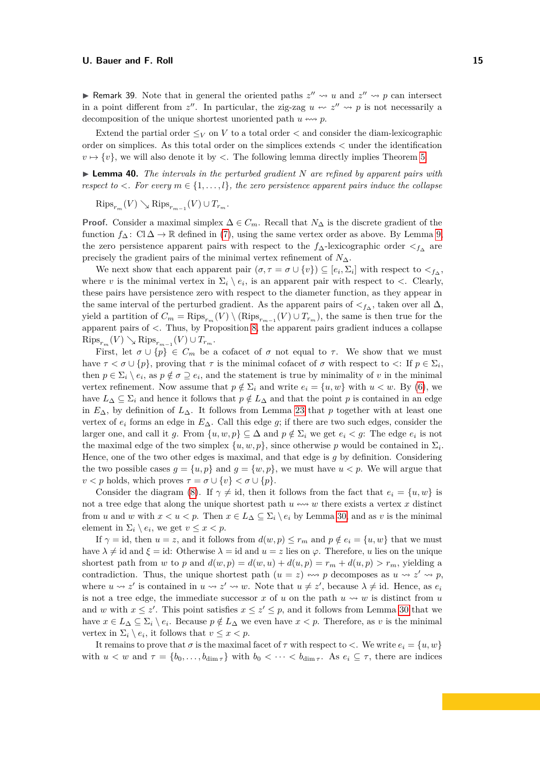**If Remark 39.** Note that in general the oriented paths  $z'' \rightsquigarrow u$  and  $z'' \rightsquigarrow p$  can intersect in a point different from  $z''$ . In particular, the zig-zag  $u \leftrightarrow z'' \rightarrow p$  is not necessarily a decomposition of the unique shortest unoriented path  $u \leftrightarrow p$ .

Extend the partial order  $\leq_V$  on *V* to a total order  $\lt$  and consider the diam-lexicographic order on simplices. As this total order on the simplices extends *<* under the identification  $v \mapsto \{v\}$ , we will also denote it by  $\langle v \rangle$ . The following lemma directly implies Theorem [5.](#page-1-3)

<span id="page-14-0"></span> $\blacktriangleright$  **Lemma 40.** *The intervals in the perturbed gradient N* are refined by apparent pairs with *respect to*  $\langle$ . For every  $m \in \{1, \ldots, l\}$ , the zero persistence apparent pairs induce the collapse

 $Rips_{r_m}(V) \searrow Rips_{r_{m-1}}(V) \cup T_{r_m}$ .

**Proof.** Consider a maximal simplex  $\Delta \in C_m$ . Recall that  $N_{\Delta}$  is the discrete gradient of the function  $f_\Delta$ : Cl  $\Delta \to \mathbb{R}$  defined in [\(7\)](#page-13-2), using the same vertex order as above. By Lemma [9,](#page-3-1) the zero persistence apparent pairs with respect to the *f*∆-lexicographic order *<f*<sup>∆</sup> are precisely the gradient pairs of the minimal vertex refinement of *N*∆.

We next show that each apparent pair  $(\sigma, \tau = \sigma \cup \{v\}) \subseteq [e_i, \Sigma_i]$  with respect to  $\lt_{f_\Delta}$ , where *v* is the minimal vertex in  $\Sigma_i \setminus e_i$ , is an apparent pair with respect to  $\lt$ . Clearly, these pairs have persistence zero with respect to the diameter function, as they appear in the same interval of the perturbed gradient. As the apparent pairs of  $\lt_{f_\Delta}$ , taken over all  $\Delta$ , yield a partition of  $C_m = \text{Rips}_{r_m}(V) \setminus (\text{Rips}_{r_{m-1}}(V) \cup T_{r_m})$ , the same is then true for the apparent pairs of *<*. Thus, by Proposition [8,](#page-3-0) the apparent pairs gradient induces a collapse  $Rips_{r_m}(V) \searrow Rips_{r_{m-1}}(V) \cup T_{r_m}.$ 

First, let  $\sigma \cup \{p\} \in C_m$  be a cofacet of  $\sigma$  not equal to  $\tau$ . We show that we must have  $\tau < \sigma \cup \{p\}$ , proving that  $\tau$  is the minimal cofacet of  $\sigma$  with respect to  $\lt:$ : If  $p \in \Sigma_i$ , then  $p \in \Sigma_i \setminus e_i$ , as  $p \notin \sigma \supseteq e_i$ , and the statement is true by minimality of *v* in the minimal vertex refinement. Now assume that  $p \notin \Sigma_i$  and write  $e_i = \{u, w\}$  with  $u < w$ . By [\(6\)](#page-13-0), we have  $L_{\Delta} \subseteq \Sigma_i$  and hence it follows that  $p \notin L_{\Delta}$  and that the point *p* is contained in an edge in *E*∆, by definition of *L*∆. It follows from Lemma [23](#page-9-1) that *p* together with at least one vertex of  $e_i$  forms an edge in  $E_\Delta$ . Call this edge *g*; if there are two such edges, consider the larger one, and call it *g*. From  $\{u, w, p\} \subseteq \Delta$  and  $p \notin \Sigma_i$  we get  $e_i < g$ : The edge  $e_i$  is not the maximal edge of the two simplex  $\{u, w, p\}$ , since otherwise *p* would be contained in  $\Sigma_i$ . Hence, one of the two other edges is maximal, and that edge is *g* by definition. Considering the two possible cases  $g = \{u, p\}$  and  $g = \{w, p\}$ , we must have  $u < p$ . We will argue that  $v < p$  holds, which proves  $\tau = \sigma \cup \{v\} < \sigma \cup \{p\}.$ 

Consider the diagram [\(8\)](#page-13-3). If  $\gamma \neq id$ , then it follows from the fact that  $e_i = \{u, w\}$  is not a tree edge that along the unique shortest path  $u \leftrightarrow w$  there exists a vertex *x* distinct from *u* and *w* with  $x < u < p$ . Then  $x \in L_\Delta \subseteq \Sigma_i \setminus e_i$  by Lemma [30,](#page-11-0) and as *v* is the minimal element in  $\Sigma_i \setminus e_i$ , we get  $v \leq x < p$ .

If  $\gamma = id$ , then  $u = z$ , and it follows from  $d(w, p) \leq r_m$  and  $p \notin e_i = \{u, w\}$  that we must have  $\lambda \neq id$  and  $\xi = id$ : Otherwise  $\lambda = id$  and  $u = z$  lies on  $\varphi$ . Therefore, *u* lies on the unique shortest path from *w* to *p* and  $d(w, p) = d(w, u) + d(u, p) = r_m + d(u, p) > r_m$ , yielding a contradiction. Thus, the unique shortest path  $(u = z) \leftrightarrow p$  decomposes as  $u \leftrightarrow z' \leftrightarrow p$ , where  $u \leftrightarrow z'$  is contained in  $u \leftrightarrow z' \leftrightarrow w$ . Note that  $u \neq z'$ , because  $\lambda \neq id$ . Hence, as  $e_i$ is not a tree edge, the immediate successor  $x$  of  $u$  on the path  $u \rightsquigarrow w$  is distinct from  $u$ and *w* with  $x \leq z'$ . This point satisfies  $x \leq z' \leq p$ , and it follows from Lemma [30](#page-11-0) that we have  $x \in L_\Delta \subseteq \Sigma_i \setminus e_i$ . Because  $p \notin L_\Delta$  we even have  $x < p$ . Therefore, as v is the minimal vertex in  $\Sigma_i \setminus e_i$ , it follows that  $v \leq x < p$ .

It remains to prove that  $\sigma$  is the maximal facet of  $\tau$  with respect to  $\lt$ . We write  $e_i = \{u, w\}$ with  $u < w$  and  $\tau = \{b_0, \ldots, b_{\dim \tau}\}\$  with  $b_0 < \cdots < b_{\dim \tau}$ . As  $e_i \subseteq \tau$ , there are indices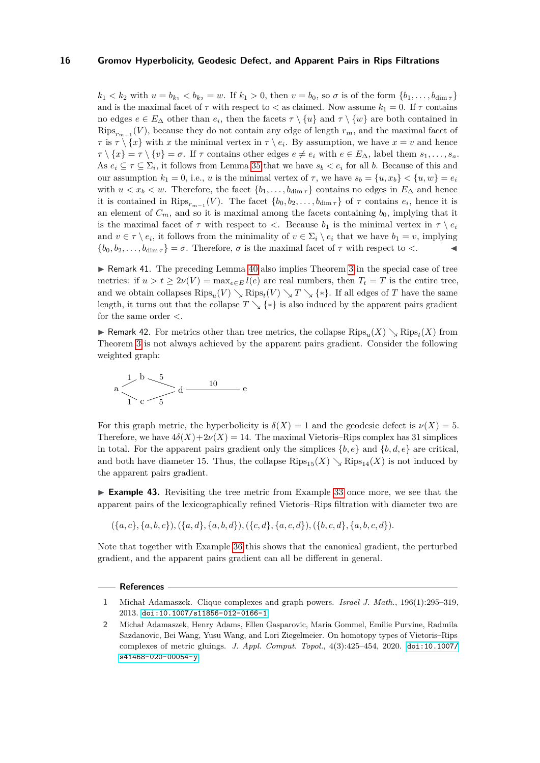$k_1 < k_2$  with  $u = b_{k_1} < b_{k_2} = w$ . If  $k_1 > 0$ , then  $v = b_0$ , so  $\sigma$  is of the form  $\{b_1, \ldots, b_{\dim \tau}\}\$ and is the maximal facet of  $\tau$  with respect to  $\lt$  as claimed. Now assume  $k_1 = 0$ . If  $\tau$  contains no edges  $e \in E_{\Delta}$  other than  $e_i$ , then the facets  $\tau \setminus \{u\}$  and  $\tau \setminus \{w\}$  are both contained in  $Rips_{r_{m-1}}(V)$ , because they do not contain any edge of length  $r_m$ , and the maximal facet of *τ* is  $\tau \setminus \{x\}$  with *x* the minimal vertex in  $\tau \setminus e_i$ . By assumption, we have  $x = v$  and hence  $\tau \setminus \{x\} = \tau \setminus \{v\} = \sigma$ . If  $\tau$  contains other edges  $e \neq e_i$  with  $e \in E_\Delta$ , label them  $s_1, \ldots, s_a$ . As  $e_i \subseteq \tau \subseteq \Sigma_i$ , it follows from Lemma [35](#page-12-1) that we have  $s_b < e_i$  for all *b*. Because of this and our assumption  $k_1 = 0$ , i.e., *u* is the minimal vertex of  $\tau$ , we have  $s_b = \{u, x_b\} < \{u, w\} = e_i$ with  $u < x_b < w$ . Therefore, the facet  $\{b_1, \ldots, b_{\dim \tau}\}\$  contains no edges in  $E_{\Delta}$  and hence it is contained in  $\text{Rips}_{r_{m-1}}(V)$ . The facet  $\{b_0, b_2, \ldots, b_{\dim \tau}\}\$  of  $\tau$  contains  $e_i$ , hence it is an element of  $C_m$ , and so it is maximal among the facets containing  $b_0$ , implying that it is the maximal facet of  $\tau$  with respect to  $\lt$ . Because  $b_1$  is the minimal vertex in  $\tau \setminus e_i$ and  $v \in \tau \setminus e_i$ , it follows from the minimality of  $v \in \Sigma_i \setminus e_i$  that we have  $b_1 = v$ , implying  ${b_0, b_2, \ldots, b_{\dim \tau}} = \sigma$ . Therefore,  $\sigma$  is the maximal facet of  $\tau$  with respect to  $\lt$ .

 $\triangleright$  Remark 41. The preceding Lemma [40](#page-14-0) also implies Theorem [3](#page-1-0) in the special case of tree metrics: if  $u > t \geq 2\nu(V) = \max_{e \in E} l(e)$  are real numbers, then  $T_t = T$  is the entire tree, and we obtain collapses  $Rips_u(V) \searrow Rips_t(V) \searrow T \searrow {\ast}.$  If all edges of *T* have the same length, it turns out that the collapse  $T \setminus {\ast}$  is also induced by the apparent pairs gradient for the same order *<*.

Example Rips<sub>*u*</sub>(X)  $\leq$  Remark 42. For metrics other than tree metrics, the collapse Rips<sub>*u*</sub>(X)  $\leq$  Rips<sub>*t*</sub>(X) from Theorem [3](#page-1-0) is not always achieved by the apparent pairs gradient. Consider the following weighted graph:



For this graph metric, the hyperbolicity is  $\delta(X) = 1$  and the geodesic defect is  $\nu(X) = 5$ . Therefore, we have  $4\delta(X)+2\nu(X)=14$ . The maximal Vietoris–Rips complex has 31 simplices in total. For the apparent pairs gradient only the simplices  ${b, e}$  and  ${b, d, e}$  are critical, and both have diameter 15. Thus, the collapse  $Rips_{15}(X) \searrow Rips_{14}(X)$  is not induced by the apparent pairs gradient.

► **Example 43.** Revisiting the tree metric from Example [33](#page-11-4) once more, we see that the apparent pairs of the lexicographically refined Vietoris–Rips filtration with diameter two are

 $({a, c}, {a, b, c})$ *,* $({a, d}, {a, b, d})$ *,* $({c, d}, {a, c, d})$ *,* $({b, c, d}, {a, b, c, d})$ *.* 

Note that together with Example [36](#page-13-4) this shows that the canonical gradient, the perturbed gradient, and the apparent pairs gradient can all be different in general.

#### **References**

<span id="page-15-0"></span>**<sup>1</sup>** Michał Adamaszek. Clique complexes and graph powers. *Israel J. Math.*, 196(1):295–319, 2013. [doi:10.1007/s11856-012-0166-1](https://doi.org/10.1007/s11856-012-0166-1).

<span id="page-15-1"></span>**<sup>2</sup>** Michał Adamaszek, Henry Adams, Ellen Gasparovic, Maria Gommel, Emilie Purvine, Radmila Sazdanovic, Bei Wang, Yusu Wang, and Lori Ziegelmeier. On homotopy types of Vietoris–Rips complexes of metric gluings. *J. Appl. Comput. Topol.*, 4(3):425–454, 2020. [doi:10.1007/](https://doi.org/10.1007/s41468-020-00054-y) [s41468-020-00054-y](https://doi.org/10.1007/s41468-020-00054-y).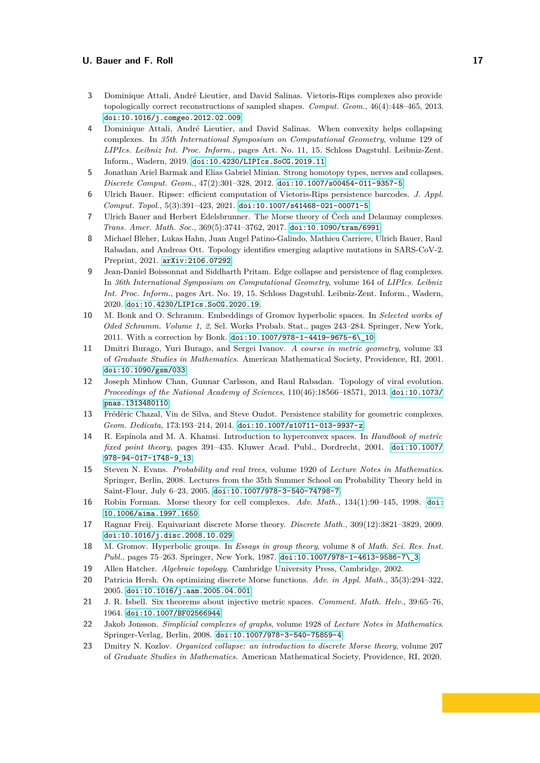- <span id="page-16-6"></span>**3** Dominique Attali, André Lieutier, and David Salinas. Vietoris-Rips complexes also provide topologically correct reconstructions of sampled shapes. *Comput. Geom.*, 46(4):448–465, 2013. [doi:10.1016/j.comgeo.2012.02.009](https://doi.org/10.1016/j.comgeo.2012.02.009).
- <span id="page-16-7"></span>**4** Dominique Attali, André Lieutier, and David Salinas. When convexity helps collapsing complexes. In *35th International Symposium on Computational Geometry*, volume 129 of *LIPIcs. Leibniz Int. Proc. Inform.*, pages Art. No. 11, 15. Schloss Dagstuhl. Leibniz-Zent. Inform., Wadern, 2019. [doi:10.4230/LIPIcs.SoCG.2019.11](https://doi.org/10.4230/LIPIcs.SoCG.2019.11).
- <span id="page-16-19"></span>**5** Jonathan Ariel Barmak and Elias Gabriel Minian. Strong homotopy types, nerves and collapses. *Discrete Comput. Geom.*, 47(2):301–328, 2012. [doi:10.1007/s00454-011-9357-5](https://doi.org/10.1007/s00454-011-9357-5).
- <span id="page-16-5"></span>**6** Ulrich Bauer. Ripser: efficient computation of Vietoris-Rips persistence barcodes. *J. Appl. Comput. Topol.*, 5(3):391–423, 2021. [doi:10.1007/s41468-021-00071-5](https://doi.org/10.1007/s41468-021-00071-5).
- <span id="page-16-9"></span>**7** Ulrich Bauer and Herbert Edelsbrunner. The Morse theory of Čech and Delaunay complexes. *Trans. Amer. Math. Soc.*, 369(5):3741–3762, 2017. [doi:10.1090/tran/6991](https://doi.org/10.1090/tran/6991).
- <span id="page-16-4"></span>**8** Michael Bleher, Lukas Hahn, Juan Angel Patino-Galindo, Mathieu Carriere, Ulrich Bauer, Raul Rabadan, and Andreas Ott. Topology identifies emerging adaptive mutations in SARS-CoV-2. Preprint, 2021. [arXiv:2106.07292](http://arxiv.org/abs/2106.07292).
- <span id="page-16-20"></span>**9** Jean-Daniel Boissonnat and Siddharth Pritam. Edge collapse and persistence of flag complexes. In *36th International Symposium on Computational Geometry*, volume 164 of *LIPIcs. Leibniz Int. Proc. Inform.*, pages Art. No. 19, 15. Schloss Dagstuhl. Leibniz-Zent. Inform., Wadern, 2020. [doi:10.4230/LIPIcs.SoCG.2020.19](https://doi.org/10.4230/LIPIcs.SoCG.2020.19).
- <span id="page-16-1"></span>**10** M. Bonk and O. Schramm. Embeddings of Gromov hyperbolic spaces. In *Selected works of Oded Schramm. Volume 1, 2*, Sel. Works Probab. Stat., pages 243–284. Springer, New York, 2011. With a correction by Bonk. [doi:10.1007/978-1-4419-9675-6\\\_10](https://doi.org/10.1007/978-1-4419-9675-6_10).
- <span id="page-16-15"></span>**11** Dmitri Burago, Yuri Burago, and Sergei Ivanov. *A course in metric geometry*, volume 33 of *Graduate Studies in Mathematics*. American Mathematical Society, Providence, RI, 2001. [doi:10.1090/gsm/033](https://doi.org/10.1090/gsm/033).
- <span id="page-16-3"></span>**12** Joseph Minhow Chan, Gunnar Carlsson, and Raul Rabadan. Topology of viral evolution. *Proceedings of the National Academy of Sciences*, 110(46):18566–18571, 2013. [doi:10.1073/](https://doi.org/10.1073/pnas.1313480110) [pnas.1313480110](https://doi.org/10.1073/pnas.1313480110).
- <span id="page-16-16"></span>**13** Frédéric Chazal, Vin de Silva, and Steve Oudot. Persistence stability for geometric complexes. *Geom. Dedicata*, 173:193–214, 2014. [doi:10.1007/s10711-013-9937-z](https://doi.org/10.1007/s10711-013-9937-z).
- <span id="page-16-14"></span>**14** R. Espínola and M. A. Khamsi. Introduction to hyperconvex spaces. In *Handbook of metric fixed point theory*, pages 391–435. Kluwer Acad. Publ., Dordrecht, 2001. [doi:10.1007/](https://doi.org/10.1007/978-94-017-1748-9_13) [978-94-017-1748-9\\_13](https://doi.org/10.1007/978-94-017-1748-9_13).
- <span id="page-16-2"></span>**15** Steven N. Evans. *Probability and real trees*, volume 1920 of *Lecture Notes in Mathematics*. Springer, Berlin, 2008. Lectures from the 35th Summer School on Probability Theory held in Saint-Flour, July 6–23, 2005. [doi:10.1007/978-3-540-74798-7](https://doi.org/10.1007/978-3-540-74798-7).
- <span id="page-16-8"></span>**16** Robin Forman. Morse theory for cell complexes. *Adv. Math.*, 134(1):90–145, 1998. [doi:](https://doi.org/10.1006/aima.1997.1650) [10.1006/aima.1997.1650](https://doi.org/10.1006/aima.1997.1650).
- <span id="page-16-10"></span>**17** Ragnar Freij. Equivariant discrete Morse theory. *Discrete Math.*, 309(12):3821–3829, 2009. [doi:10.1016/j.disc.2008.10.029](https://doi.org/10.1016/j.disc.2008.10.029).
- <span id="page-16-0"></span>**18** M. Gromov. Hyperbolic groups. In *Essays in group theory*, volume 8 of *Math. Sci. Res. Inst. Publ.*, pages 75–263. Springer, New York, 1987. [doi:10.1007/978-1-4613-9586-7\\\_3](https://doi.org/10.1007/978-1-4613-9586-7_3).
- <span id="page-16-18"></span>**19** Allen Hatcher. *Algebraic topology*. Cambridge University Press, Cambridge, 2002.
- <span id="page-16-11"></span>**20** Patricia Hersh. On optimizing discrete Morse functions. *Adv. in Appl. Math.*, 35(3):294–322, 2005. [doi:10.1016/j.aam.2005.04.001](https://doi.org/10.1016/j.aam.2005.04.001).
- <span id="page-16-17"></span>**21** J. R. Isbell. Six theorems about injective metric spaces. *Comment. Math. Helv.*, 39:65–76, 1964. [doi:10.1007/BF02566944](https://doi.org/10.1007/BF02566944).
- <span id="page-16-12"></span>**22** Jakob Jonsson. *Simplicial complexes of graphs*, volume 1928 of *Lecture Notes in Mathematics*. Springer-Verlag, Berlin, 2008. [doi:10.1007/978-3-540-75859-4](https://doi.org/10.1007/978-3-540-75859-4).
- <span id="page-16-13"></span>**23** Dmitry N. Kozlov. *Organized collapse: an introduction to discrete Morse theory*, volume 207 of *Graduate Studies in Mathematics*. American Mathematical Society, Providence, RI, 2020.